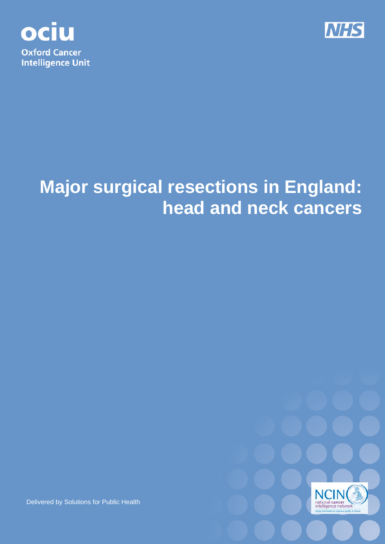



# **Major surgical resections in England: head and neck cancers**



Delivered by Solutions for Public Health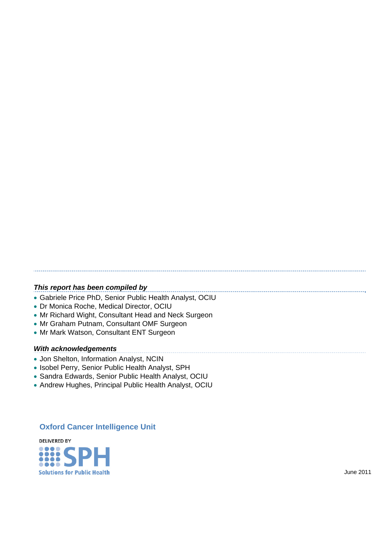#### *This report has been compiled by*

• Gabriele Price PhD, Senior Public Health Analyst, OCIU

- Dr Monica Roche, Medical Director, OCIU
- Mr Richard Wight, Consultant Head and Neck Surgeon
- Mr Graham Putnam, Consultant OMF Surgeon
- Mr Mark Watson, Consultant ENT Surgeon

#### *With acknowledgements*

- Jon Shelton, Information Analyst, NCIN
- Isobel Perry, Senior Public Health Analyst, SPH
- Sandra Edwards, Senior Public Health Analyst, OCIU
- Andrew Hughes, Principal Public Health Analyst, OCIU

## **Oxford Cancer Intelligence Unit**

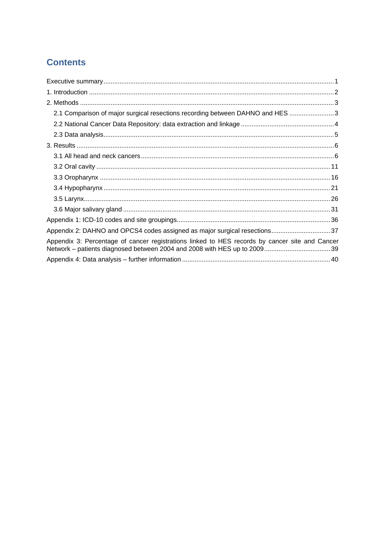# **Contents**

| 2.1 Comparison of major surgical resections recording between DAHNO and HES 3                  |
|------------------------------------------------------------------------------------------------|
|                                                                                                |
|                                                                                                |
|                                                                                                |
|                                                                                                |
|                                                                                                |
|                                                                                                |
|                                                                                                |
|                                                                                                |
|                                                                                                |
|                                                                                                |
| Appendix 2: DAHNO and OPCS4 codes assigned as major surgical resections37                      |
| Appendix 3: Percentage of cancer registrations linked to HES records by cancer site and Cancer |
|                                                                                                |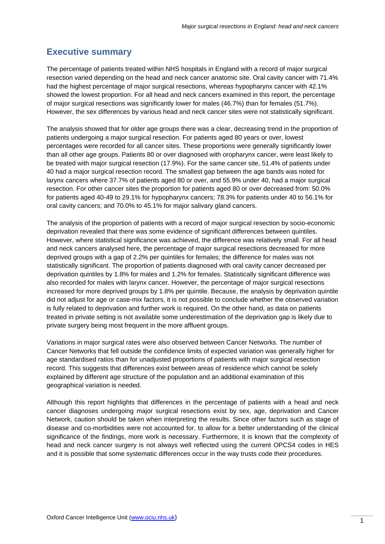## **Executive summary**

The percentage of patients treated within NHS hospitals in England with a record of major surgical resection varied depending on the head and neck cancer anatomic site. Oral cavity cancer with 71.4% had the highest percentage of major surgical resections, whereas hypopharynx cancer with 42.1% showed the lowest proportion. For all head and neck cancers examined in this report, the percentage of major surgical resections was significantly lower for males (46.7%) than for females (51.7%). However, the sex differences by various head and neck cancer sites were not statistically significant.

The analysis showed that for older age groups there was a clear, decreasing trend in the proportion of patients undergoing a major surgical resection. For patients aged 80 years or over, lowest percentages were recorded for all cancer sites. These proportions were generally significantly lower than all other age groups. Patients 80 or over diagnosed with oropharynx cancer, were least likely to be treated with major surgical resection (17.9%). For the same cancer site, 51.4% of patients under 40 had a major surgical resection record. The smallest gap between the age bands was noted for larynx cancers where 37.7% of patients aged 80 or over, and 55.9% under 40, had a major surgical resection. For other cancer sites the proportion for patients aged 80 or over decreased from: 50.0% for patients aged 40-49 to 29.1% for hypopharynx cancers; 78.3% for patients under 40 to 56.1% for oral cavity cancers; and 70.0% to 45.1% for major salivary gland cancers.

The analysis of the proportion of patients with a record of major surgical resection by socio-economic deprivation revealed that there was some evidence of significant differences between quintiles. However, where statistical significance was achieved, the difference was relatively small. For all head and neck cancers analysed here, the percentage of major surgical resections decreased for more deprived groups with a gap of 2.2% per quintiles for females; the difference for males was not statistically significant. The proportion of patients diagnosed with oral cavity cancer decreased per deprivation quintiles by 1.8% for males and 1.2% for females. Statistically significant difference was also recorded for males with larynx cancer. However, the percentage of major surgical resections increased for more deprived groups by 1.8% per quintile. Because, the analysis by deprivation quintile did not adjust for age or case-mix factors, it is not possible to conclude whether the observed variation is fully related to deprivation and further work is required. On the other hand, as data on patients treated in private setting is not available some underestimation of the deprivation gap is likely due to private surgery being most frequent in the more affluent groups.

Variations in major surgical rates were also observed between Cancer Networks. The number of Cancer Networks that fell outside the confidence limits of expected variation was generally higher for age standardised ratios than for unadjusted proportions of patients with major surgical resection record. This suggests that differences exist between areas of residence which cannot be solely explained by different age structure of the population and an additional examination of this geographical variation is needed.

Although this report highlights that differences in the percentage of patients with a head and neck cancer diagnoses undergoing major surgical resections exist by sex, age, deprivation and Cancer Network, caution should be taken when interpreting the results. Since other factors such as stage of disease and co-morbidities were not accounted for, to allow for a better understanding of the clinical significance of the findings, more work is necessary. Furthermore, it is known that the complexity of head and neck cancer surgery is not always well reflected using the current OPCS4 codes in HES and it is possible that some systematic differences occur in the way trusts code their procedures.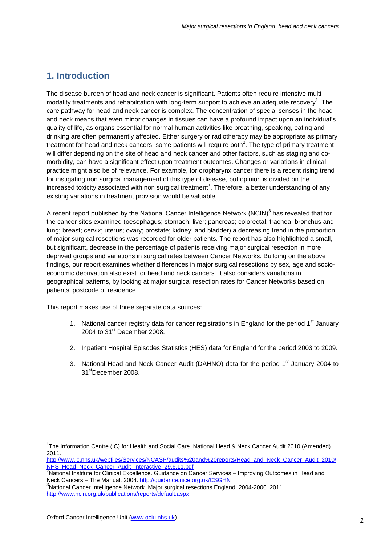## **1. Introduction**

The disease burden of head and neck cancer is significant. Patients often require intensive multimodality treatments and rehabilitation with long-term support to achieve an adequate recovery<sup>1</sup>. The care pathway for head and neck cancer is complex. The concentration of special senses in the head and neck means that even minor changes in tissues can have a profound impact upon an individual's quality of life, as organs essential for normal human activities like breathing, speaking, eating and drinking are often permanently affected. Either surgery or radiotherapy may be appropriate as primary treatment for head and neck cancers; some patients will require both<sup>2</sup>. The type of primary treatment will differ depending on the site of head and neck cancer and other factors, such as staging and comorbidity, can have a significant effect upon treatment outcomes. Changes or variations in clinical practice might also be of relevance. For example, for oropharynx cancer there is a recent rising trend for instigating non surgical management of this type of disease, but opinion is divided on the increased toxicity associated with non surgical treatment<sup>1</sup>. Therefore, a better understanding of any existing variations in treatment provision would be valuable.

A recent report published by the National Cancer Intelligence Network (NCIN)<sup>3</sup> has revealed that for the cancer sites examined (oesophagus; stomach; liver; pancreas; colorectal; trachea, bronchus and lung; breast; cervix; uterus; ovary; prostate; kidney; and bladder) a decreasing trend in the proportion of major surgical resections was recorded for older patients. The report has also highlighted a small, but significant, decrease in the percentage of patients receiving major surgical resection in more deprived groups and variations in surgical rates between Cancer Networks. Building on the above findings, our report examines whether differences in major surgical resections by sex, age and socioeconomic deprivation also exist for head and neck cancers. It also considers variations in geographical patterns, by looking at major surgical resection rates for Cancer Networks based on patients' postcode of residence.

This report makes use of three separate data sources:

- 1. National cancer registry data for cancer registrations in England for the period  $1<sup>st</sup>$  January 2004 to  $31<sup>st</sup>$  December 2008.
- 2. Inpatient Hospital Episodes Statistics (HES) data for England for the period 2003 to 2009.
- 3. National Head and Neck Cancer Audit (DAHNO) data for the period 1<sup>st</sup> January 2004 to 31stDecember 2008.

l <sup>1</sup>The Information Centre (IC) for Health and Social Care. National Head & Neck Cancer Audit 2010 (Amended). 2011.

http://www.ic.nhs.uk/webfiles/Services/NCASP/audits%20and%20reports/Head\_and\_Neck\_Cancer\_Audit\_2010/ NHS\_Head\_Neck\_Cancer\_Audit\_Interactive\_29.6.11.pdf

<sup>&</sup>lt;sup>2</sup>National Institute for Clinical Excellence. Guidance on Cancer Services – Improving Outcomes in Head and Neck Cancers – The Manual. 2004. http://guidance.nice.org.uk/CSGHN

 $3$ National Cancer Intelligence Network. Major surgical resections England, 2004-2006. 2011. http://www.ncin.org.uk/publications/reports/default.aspx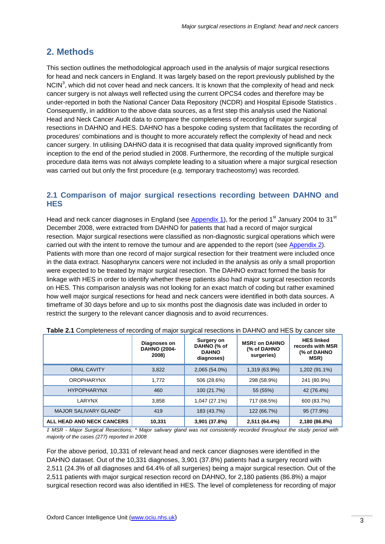# **2. Methods**

This section outlines the methodological approach used in the analysis of major surgical resections for head and neck cancers in England. It was largely based on the report previously published by the NCIN<sup>3</sup>, which did not cover head and neck cancers. It is known that the complexity of head and neck cancer surgery is not always well reflected using the current OPCS4 codes and therefore may be under-reported in both the National Cancer Data Repository (NCDR) and Hospital Episode Statistics . Consequently, in addition to the above data sources, as a first step this analysis used the National Head and Neck Cancer Audit data to compare the completeness of recording of major surgical resections in DAHNO and HES. DAHNO has a bespoke coding system that facilitates the recording of procedures' combinations and is thought to more accurately reflect the complexity of head and neck cancer surgery. In utilising DAHNO data it is recognised that data quality improved significantly from inception to the end of the period studied in 2008. Furthermore, the recording of the multiple surgical procedure data items was not always complete leading to a situation where a major surgical resection was carried out but only the first procedure (e.g. temporary tracheostomy) was recorded.

## **2.1 Comparison of major surgical resections recording between DAHNO and HES**

Head and neck cancer diagnoses in England (see Appendix 1), for the period 1<sup>st</sup> January 2004 to 31<sup>st</sup> December 2008, were extracted from DAHNO for patients that had a record of major surgical resection. Major surgical resections were classified as non-diagnostic surgical operations which were carried out with the intent to remove the tumour and are appended to the report (see Appendix 2). Patients with more than one record of major surgical resection for their treatment were included once in the data extract. Nasopharynx cancers were not included in the analysis as only a small proportion were expected to be treated by major surgical resection. The DAHNO extract formed the basis for linkage with HES in order to identify whether these patients also had major surgical resection records on HES. This comparison analysis was not looking for an exact match of coding but rather examined how well major surgical resections for head and neck cancers were identified in both data sources. A timeframe of 30 days before and up to six months post the diagnosis date was included in order to restrict the surgery to the relevant cancer diagnosis and to avoid recurrences.

|                           | Diagnoses on<br><b>DAHNO (2004-</b><br>2008) | Surgery on<br>DAHNO (% of<br><b>DAHNO</b><br>diagnoses) | <b>MSR‡ on DAHNO</b><br>(% of DAHNO<br>surgeries) | <b>HES linked</b><br>records with MSR<br>(% of DAHNO<br>MSR) |
|---------------------------|----------------------------------------------|---------------------------------------------------------|---------------------------------------------------|--------------------------------------------------------------|
| <b>ORAL CAVITY</b>        | 3,822                                        | 2,065 (54.0%)                                           | 1,319 (63.9%)                                     | 1,202 (91.1%)                                                |
| <b>OROPHARYNX</b>         | 1.772                                        | 506 (28.6%)                                             | 298 (58.9%)                                       | 241 (80.9%)                                                  |
| <b>HYPOPHARYNX</b>        | 460                                          | 100 (21.7%)                                             | 55 (55%)                                          | 42 (76.4%)                                                   |
| LARYNX                    | 3,858                                        | 1,047 (27.1%)                                           | 717 (68.5%)                                       | 600 (83.7%)                                                  |
| MAJOR SALIVARY GLAND*     | 419                                          | 183 (43.7%)                                             | 122 (66.7%)                                       | 95 (77.9%)                                                   |
| ALL HEAD AND NECK CANCERS | 10.331                                       | 3,901 (37.8%)                                           | 2,511 (64.4%)                                     | 2,180 (86.8%)                                                |

|  |  |  | Table 2.1 Completeness of recording of major surgical resections in DAHNO and HES by cancer site |
|--|--|--|--------------------------------------------------------------------------------------------------|
|  |  |  |                                                                                                  |

*‡ MSR - Major Surgical Resections; \* Major salivary gland was not consistently recorded throughout the study period with majority of the cases (277) reported in 2008* 

For the above period, 10,331 of relevant head and neck cancer diagnoses were identified in the DAHNO dataset. Out of the 10,331 diagnoses, 3,901 (37.8%) patients had a surgery record with 2,511 (24.3% of all diagnoses and 64.4% of all surgeries) being a major surgical resection. Out of the 2,511 patients with major surgical resection record on DAHNO, for 2,180 patients (86.8%) a major surgical resection record was also identified in HES. The level of completeness for recording of major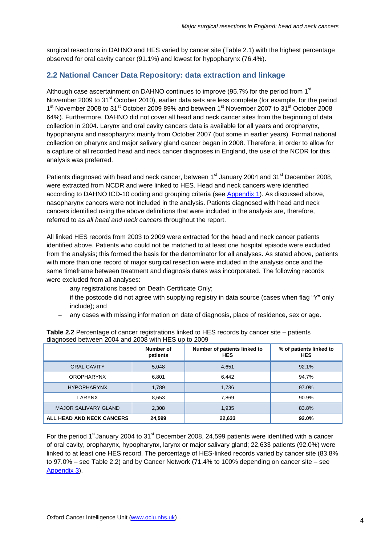surgical resections in DAHNO and HES varied by cancer site (Table 2.1) with the highest percentage observed for oral cavity cancer (91.1%) and lowest for hypopharynx (76.4%).

## **2.2 National Cancer Data Repository: data extraction and linkage**

Although case ascertainment on DAHNO continues to improve (95.7% for the period from 1<sup>st</sup> November 2009 to 31<sup>st</sup> October 2010), earlier data sets are less complete (for example, for the period 1<sup>st</sup> November 2008 to 31<sup>st</sup> October 2009 89% and between 1<sup>st</sup> November 2007 to 31<sup>st</sup> October 2008 64%). Furthermore, DAHNO did not cover all head and neck cancer sites from the beginning of data collection in 2004. Larynx and oral cavity cancers data is available for all years and oropharynx, hypopharynx and nasopharynx mainly from October 2007 (but some in earlier years). Formal national collection on pharynx and major salivary gland cancer began in 2008. Therefore, in order to allow for a capture of all recorded head and neck cancer diagnoses in England, the use of the NCDR for this analysis was preferred.

Patients diagnosed with head and neck cancer, between 1<sup>st</sup> January 2004 and 31<sup>st</sup> December 2008, were extracted from NCDR and were linked to HES. Head and neck cancers were identified according to DAHNO ICD-10 coding and grouping criteria (see Appendix 1). As discussed above, nasopharynx cancers were not included in the analysis. Patients diagnosed with head and neck cancers identified using the above definitions that were included in the analysis are, therefore, referred to as *all head and neck cancers* throughout the report.

All linked HES records from 2003 to 2009 were extracted for the head and neck cancer patients identified above. Patients who could not be matched to at least one hospital episode were excluded from the analysis; this formed the basis for the denominator for all analyses. As stated above, patients with more than one record of major surgical resection were included in the analysis once and the same timeframe between treatment and diagnosis dates was incorporated. The following records were excluded from all analyses:

- − any registrations based on Death Certificate Only;
- − if the postcode did not agree with supplying registry in data source (cases when flag "Y" only include); and
- − any cases with missing information on date of diagnosis, place of residence, sex or age.

|                             | Number of<br>patients | Number of patients linked to<br><b>HES</b> | % of patients linked to<br><b>HES</b> |
|-----------------------------|-----------------------|--------------------------------------------|---------------------------------------|
| <b>ORAL CAVITY</b>          | 5,048                 | 4,651                                      | 92.1%                                 |
| <b>OROPHARYNX</b>           | 6,801                 | 6,442                                      | 94.7%                                 |
| <b>HYPOPHARYNX</b>          | 1,789                 | 1,736                                      | 97.0%                                 |
| LARYNX                      | 8,653                 | 7,869                                      | 90.9%                                 |
| <b>MAJOR SALIVARY GLAND</b> | 2,308                 | 1,935                                      | 83.8%                                 |
| ALL HEAD AND NECK CANCERS   | 24,599                | 22,633                                     | 92.0%                                 |

**Table 2.2** Percentage of cancer registrations linked to HES records by cancer site – patients diagnosed between 2004 and 2008 with HES up to 2009

For the period 1<sup>st</sup>January 2004 to 31<sup>st</sup> December 2008, 24,599 patients were identified with a cancer of oral cavity, oropharynx, hypopharynx, larynx or major salivary gland; 22,633 patients (92.0%) were linked to at least one HES record. The percentage of HES-linked records varied by cancer site (83.8% to 97.0% – see Table 2.2) and by Cancer Network (71.4% to 100% depending on cancer site – see Appendix 3).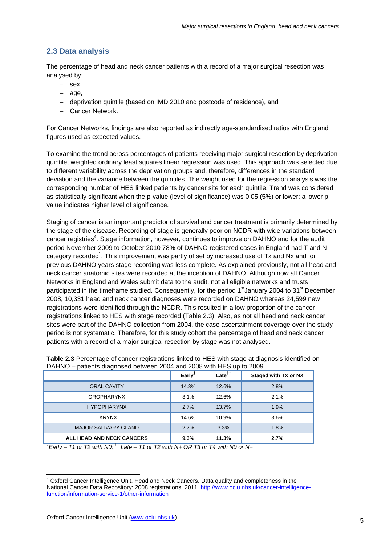## **2.3 Data analysis**

The percentage of head and neck cancer patients with a record of a major surgical resection was analysed by:

- − sex,
- − age,
- − deprivation quintile (based on IMD 2010 and postcode of residence), and
- − Cancer Network.

For Cancer Networks, findings are also reported as indirectly age-standardised ratios with England figures used as expected values.

To examine the trend across percentages of patients receiving major surgical resection by deprivation quintile, weighted ordinary least squares linear regression was used. This approach was selected due to different variability across the deprivation groups and, therefore, differences in the standard deviation and the variance between the quintiles. The weight used for the regression analysis was the corresponding number of HES linked patients by cancer site for each quintile. Trend was considered as statistically significant when the p-value (level of significance) was 0.05 (5%) or lower; a lower pvalue indicates higher level of significance.

Staging of cancer is an important predictor of survival and cancer treatment is primarily determined by the stage of the disease. Recording of stage is generally poor on NCDR with wide variations between cancer registries<sup>4</sup>. Stage information, however, continues to improve on DAHNO and for the audit period November 2009 to October 2010 78% of DAHNO registered cases in England had T and N category recorded<sup>1</sup>. This improvement was partly offset by increased use of Tx and Nx and for previous DAHNO years stage recording was less complete. As explained previously, not all head and neck cancer anatomic sites were recorded at the inception of DAHNO. Although now all Cancer Networks in England and Wales submit data to the audit, not all eligible networks and trusts participated in the timeframe studied. Consequently, for the period  $1<sup>st</sup>$  January 2004 to 31<sup>st</sup> December 2008, 10,331 head and neck cancer diagnoses were recorded on DAHNO whereas 24,599 new registrations were identified through the NCDR. This resulted in a low proportion of the cancer registrations linked to HES with stage recorded (Table 2.3). Also, as not all head and neck cancer sites were part of the DAHNO collection from 2004, the case ascertainment coverage over the study period is not systematic. Therefore, for this study cohort the percentage of head and neck cancer patients with a record of a major surgical resection by stage was not analysed.

|                                  | Early <sup>t</sup> | Late <sup>††</sup> | <b>Staged with TX or NX</b> |
|----------------------------------|--------------------|--------------------|-----------------------------|
| <b>ORAL CAVITY</b>               | 14.3%              | 12.6%              | 2.8%                        |
| <b>OROPHARYNX</b>                | 3.1%               | 12.6%              | 2.1%                        |
| <b>HYPOPHARYNX</b>               | 2.7%               | 13.7%              | 1.9%                        |
| LARYNX                           | 14.6%              | 10.9%              | 3.6%                        |
| <b>MAJOR SALIVARY GLAND</b>      | 2.7%               | 3.3%               | 1.8%                        |
| <b>ALL HEAD AND NECK CANCERS</b> | 9.3%               | 11.3%              | 2.7%                        |

**Table 2.3** Percentage of cancer registrations linked to HES with stage at diagnosis identified on DAHNO – patients diagnosed between 2004 and 2008 with HES up to 2009

*† Early – T1 or T2 with N0;* †† *Late – T1 or T2 with N+ OR T3 or T4 with N0 or N+* 

l

<sup>&</sup>lt;sup>4</sup> Oxford Cancer Intelligence Unit. Head and Neck Cancers. Data quality and completeness in the National Cancer Data Repository: 2008 registrations. 2011. http://www.ociu.nhs.uk/cancer-intelligencefunction/information-service-1/other-information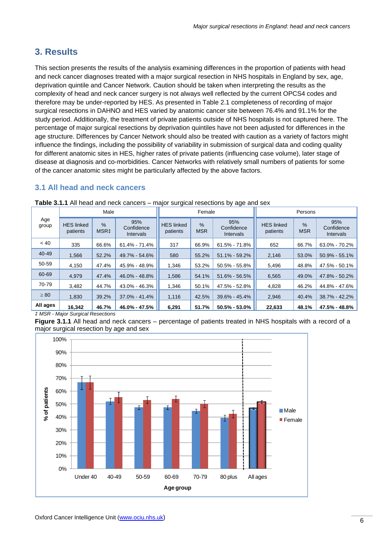# **3. Results**

This section presents the results of the analysis examining differences in the proportion of patients with head and neck cancer diagnoses treated with a major surgical resection in NHS hospitals in England by sex, age, deprivation quintile and Cancer Network. Caution should be taken when interpreting the results as the complexity of head and neck cancer surgery is not always well reflected by the current OPCS4 codes and therefore may be under-reported by HES. As presented in Table 2.1 completeness of recording of major surgical resections in DAHNO and HES varied by anatomic cancer site between 76.4% and 91.1% for the study period. Additionally, the treatment of private patients outside of NHS hospitals is not captured here. The percentage of major surgical resections by deprivation quintiles have not been adjusted for differences in the age structure. Differences by Cancer Network should also be treated with caution as a variety of factors might influence the findings, including the possibility of variability in submission of surgical data and coding quality for different anatomic sites in HES, higher rates of private patients (influencing case volume), later stage of disease at diagnosis and co-morbidities. Cancer Networks with relatively small numbers of patients for some of the cancer anatomic sites might be particularly affected by the above factors.

## **3.1 All head and neck cancers**

|              |                               | Male                              |                                       |                               | Female             |                                       | Persons                       |                             |                                       |  |
|--------------|-------------------------------|-----------------------------------|---------------------------------------|-------------------------------|--------------------|---------------------------------------|-------------------------------|-----------------------------|---------------------------------------|--|
| Age<br>group | <b>HES</b> linked<br>patients | $\frac{9}{6}$<br>MSR <sub>‡</sub> | 95%<br>Confidence<br><b>Intervals</b> | <b>HES linked</b><br>patients | $\%$<br><b>MSR</b> | 95%<br>Confidence<br><b>Intervals</b> | <b>HES linked</b><br>patients | $\frac{9}{6}$<br><b>MSR</b> | 95%<br>Confidence<br><b>Intervals</b> |  |
| ~< 40        | 335                           | 66.6%                             | 61.4% - 71.4%                         | 317                           | 66.9%              | $61.5\% - 71.8\%$                     | 652                           | 66.7%                       | 63.0% - 70.2%                         |  |
| 40-49        | 1,566                         | 52.2%                             | 49.7% - 54.6%                         | 580                           | 55.2%              | $51.1\% - 59.2\%$                     | 2,146                         | 53.0%                       | $50.9\% - 55.1\%$                     |  |
| 50-59        | 4.150                         | 47.4%                             | 45.9% - 48.9%                         | 1.346                         | 53.2%              | 50.5% - 55.8%                         | 5,496                         | 48.8%                       | 47.5% - 50.1%                         |  |
| 60-69        | 4.979                         | 47.4%                             | 46.0% - 48.8%                         | 1,586                         | 54.1%              | $51.6\% - 56.5\%$                     | 6,565                         | 49.0%                       | 47.8% - 50.2%                         |  |
| 70-79        | 3.482                         | 44.7%                             | 43.0% - 46.3%                         | 1.346                         | 50.1%              | 47.5% - 52.8%                         | 4,828                         | 46.2%                       | 44.8% - 47.6%                         |  |
| $\geq 80$    | 1,830                         | 39.2%                             | $37.0\% - 41.4\%$                     | 1,116                         | 42.5%              | $39.6\% - 45.4\%$                     | 2,946                         | 40.4%                       | 38.7% - 42.2%                         |  |
| All ages     | 16,342                        | 46.7%                             | 46.0% - 47.5%                         | 6,291                         | 51.7%              | $50.5\% - 53.0\%$                     | 22,633                        | 48.1%                       | 47.5% - 48.8%                         |  |

**Table 3.1.1** All head and neck cancers – major surgical resections by age and sex

*‡ MSR - Major Surgical Resections* 

**Figure 3.1.1** All head and neck cancers – percentage of patients treated in NHS hospitals with a record of a major surgical resection by age and sex

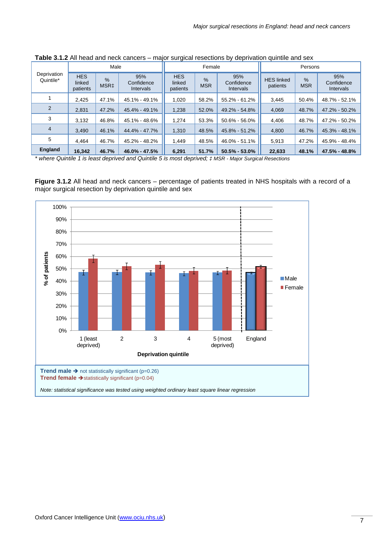|                          |                                                                                                    | Male  |               |                                  | Female                      |                                | Persons                       |                 |                                |  |
|--------------------------|----------------------------------------------------------------------------------------------------|-------|---------------|----------------------------------|-----------------------------|--------------------------------|-------------------------------|-----------------|--------------------------------|--|
| Deprivation<br>Quintile* | <b>HES</b><br>95%<br>$\frac{9}{6}$<br>linked<br>Confidence<br>MSR‡<br>patients<br><b>Intervals</b> |       |               | <b>HES</b><br>linked<br>patients | $\frac{9}{6}$<br><b>MSR</b> | 95%<br>Confidence<br>Intervals | <b>HES linked</b><br>patients | %<br><b>MSR</b> | 95%<br>Confidence<br>Intervals |  |
|                          | 2.425                                                                                              | 47.1% | 45.1% - 49.1% | 1.020                            | 58.2%                       | 55.2% - 61.2%                  | 3,445                         | 50.4%           | 48.7% - 52.1%                  |  |
| $\overline{2}$           | 2.831                                                                                              | 47.2% | 45.4% - 49.1% | 1.238                            | 52.0%                       | 49.2% - 54.8%                  | 4.069                         | 48.7%           | 47.2% - 50.2%                  |  |
| 3                        | 3,132                                                                                              | 46.8% | 45.1% - 48.6% | 1,274                            | 53.3%                       | $50.6\% - 56.0\%$              | 4,406                         | 48.7%           | 47.2% - 50.2%                  |  |
| 4                        | 3.490                                                                                              | 46.1% | 44.4% - 47.7% | 1.310                            | 48.5%                       | 45.8% - 51.2%                  | 4,800                         | 46.7%           | 45.3% - 48.1%                  |  |
| 5                        | 4.464                                                                                              | 46.7% | 45.2% - 48.2% | 1,449                            | 48.5%                       | 46.0% - 51.1%                  | 5,913                         | 47.2%           | 45.9% - 48.4%                  |  |
| England                  | 16,342                                                                                             | 46.7% | 46.0% - 47.5% | 6,291                            | 51.7%                       | $50.5\% - 53.0\%$              | 22,633                        | 48.1%           | 47.5% - 48.8%                  |  |

**Table 3.1.2** All head and neck cancers – major surgical resections by deprivation quintile and sex

*\* where Quintile 1 is least deprived and Quintile 5 is most deprived; ‡ MSR - Major Surgical Resections* 

**Figure 3.1.2** All head and neck cancers – percentage of patients treated in NHS hospitals with a record of a major surgical resection by deprivation quintile and sex

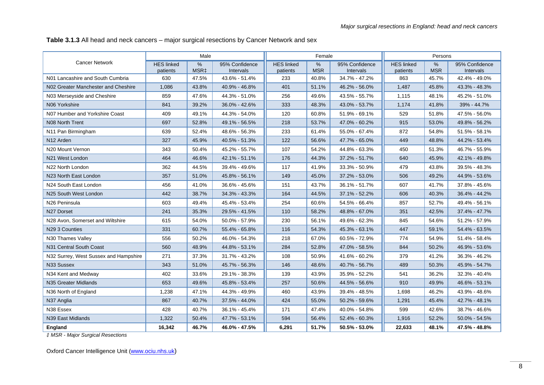**Table 3.1.3** All head and neck cancers – major surgical resections by Cancer Network and sex

|                                       |                               | Male                              |                             |                               | Female                      |                                    |                               | Persons            |                             |
|---------------------------------------|-------------------------------|-----------------------------------|-----------------------------|-------------------------------|-----------------------------|------------------------------------|-------------------------------|--------------------|-----------------------------|
| <b>Cancer Network</b>                 | <b>HES linked</b><br>patients | $\frac{9}{6}$<br>MSR <sub>‡</sub> | 95% Confidence<br>Intervals | <b>HES linked</b><br>patients | $\frac{0}{0}$<br><b>MSR</b> | 95% Confidence<br><b>Intervals</b> | <b>HES linked</b><br>patients | $\%$<br><b>MSR</b> | 95% Confidence<br>Intervals |
| N01 Lancashire and South Cumbria      | 630                           | 47.5%                             | 43.6% - 51.4%               | 233                           | 40.8%                       | 34.7% - 47.2%                      | 863                           | 45.7%              | 42.4% - 49.0%               |
| N02 Greater Manchester and Cheshire   | 1,086                         | 43.8%                             | 40.9% - 46.8%               | 401                           | 51.1%                       | 46.2% - 56.0%                      | 1,487                         | 45.8%              | 43.3% - 48.3%               |
| N03 Merseyside and Cheshire           | 859                           | 47.6%                             | 44.3% - 51.0%               | 256                           | 49.6%                       | 43.5% - 55.7%                      | 1,115                         | 48.1%              | 45.2% - 51.0%               |
| N06 Yorkshire                         | 841                           | 39.2%                             | 36.0% - 42.6%               | 333                           | 48.3%                       | 43.0% - 53.7%                      | 1.174                         | 41.8%              | 39% - 44.7%                 |
| N07 Humber and Yorkshire Coast        | 409                           | 49.1%                             | 44.3% - 54.0%               | 120                           | 60.8%                       | 51.9% - 69.1%                      | 529                           | 51.8%              | 47.5% - 56.0%               |
| N08 North Trent                       | 697                           | 52.8%                             | 49.1% - 56.5%               | 218                           | 53.7%                       | 47.0% - 60.2%                      | 915                           | 53.0%              | 49.8% - 56.2%               |
| N11 Pan Birmingham                    | 639                           | 52.4%                             | 48.6% - 56.3%               | 233                           | 61.4%                       | 55.0% - 67.4%                      | 872                           | 54.8%              | 51.5% - 58.1%               |
| N <sub>12</sub> Arden                 | 327                           | 45.9%                             | 40.5% - 51.3%               | 122                           | 56.6%                       | 47.7% - 65.0%                      | 449                           | 48.8%              | 44.2% - 53.4%               |
| N <sub>20</sub> Mount Vernon          | 343                           | 50.4%                             | 45.2% - 55.7%               | 107                           | 54.2%                       | 44.8% - 63.3%                      | 450                           | 51.3%              | 46.7% - 55.9%               |
| N21 West London                       | 464                           | 46.6%                             | 42.1% - 51.1%               | 176                           | 44.3%                       | 37.2% - 51.7%                      | 640                           | 45.9%              | 42.1% - 49.8%               |
| N22 North London                      | 362                           | 44.5%                             | 39.4% - 49.6%               | 117                           | 41.9%                       | 33.3% - 50.9%                      | 479                           | 43.8%              | 39.5% - 48.3%               |
| N23 North East London                 | 357                           | 51.0%                             | 45.8% - 56.1%               | 149                           | 45.0%                       | 37.2% - 53.0%                      | 506                           | 49.2%              | 44.9% - 53.6%               |
| N24 South East London                 | 456                           | 41.0%                             | 36.6% - 45.6%               | 151                           | 43.7%                       | 36.1% - 51.7%                      | 607                           | 41.7%              | 37.8% - 45.6%               |
| N25 South West London                 | 442                           | 38.7%                             | 34.3% - 43.3%               | 164                           | 44.5%                       | 37.1% - 52.2%                      | 606                           | 40.3%              | 36.4% - 44.2%               |
| N26 Peninsula                         | 603                           | 49.4%                             | 45.4% - 53.4%               | 254                           | 60.6%                       | 54.5% - 66.4%                      | 857                           | 52.7%              | 49.4% - 56.1%               |
| N27 Dorset                            | 241                           | 35.3%                             | 29.5% - 41.5%               | 110                           | 58.2%                       | 48.8% - 67.0%                      | 351                           | 42.5%              | 37.4% - 47.7%               |
| N28 Avon, Somerset and Wiltshire      | 615                           | 54.0%                             | 50.0% - 57.9%               | 230                           | 56.1%                       | 49.6% - 62.3%                      | 845                           | 54.6%              | 51.2% - 57.9%               |
| N29 3 Counties                        | 331                           | 60.7%                             | 55.4% - 65.8%               | 116                           | 54.3%                       | 45.3% - 63.1%                      | 447                           | 59.1%              | 54.4% - 63.5%               |
| N30 Thames Valley                     | 556                           | 50.2%                             | 46.0% - 54.3%               | 218                           | 67.0%                       | 60.5% - 72.9%                      | 774                           | 54.9%              | 51.4% - 58.4%               |
| N31 Central South Coast               | 560                           | 48.9%                             | 44.8% - 53.1%               | 284                           | 52.8%                       | 47.0% - 58.5%                      | 844                           | 50.2%              | 46.9% - 53.6%               |
| N32 Surrey, West Sussex and Hampshire | 271                           | 37.3%                             | 31.7% - 43.2%               | 108                           | 50.9%                       | 41.6% - 60.2%                      | 379                           | 41.2%              | 36.3% - 46.2%               |
| N33 Sussex                            | 343                           | 51.0%                             | 45.7% - 56.3%               | 146                           | 48.6%                       | 40.7% - 56.7%                      | 489                           | 50.3%              | 45.9% - 54.7%               |
| N34 Kent and Medway                   | 402                           | 33.6%                             | 29.1% - 38.3%               | 139                           | 43.9%                       | 35.9% - 52.2%                      | 541                           | 36.2%              | 32.3% - 40.4%               |
| N35 Greater Midlands                  | 653                           | 49.6%                             | 45.8% - 53.4%               | 257                           | 50.6%                       | 44.5% - 56.6%                      | 910                           | 49.9%              | 46.6% - 53.1%               |
| N36 North of England                  | 1,238                         | 47.1%                             | 44.3% - 49.9%               | 460                           | 43.9%                       | 39.4% - 48.5%                      | 1,698                         | 46.2%              | 43.9% - 48.6%               |
| N37 Anglia                            | 867                           | 40.7%                             | 37.5% - 44.0%               | 424                           | 55.0%                       | 50.2% - 59.6%                      | 1,291                         | 45.4%              | 42.7% - 48.1%               |
| N38 Essex                             | 428                           | 40.7%                             | 36.1% - 45.4%               | 171                           | 47.4%                       | 40.0% - 54.8%                      | 599                           | 42.6%              | 38.7% - 46.6%               |
| N39 East Midlands                     | 1,322                         | 50.4%                             | 47.7% - 53.1%               | 594                           | 56.4%                       | 52.4% - 60.3%                      | 1,916                         | 52.2%              | 50.0% - 54.5%               |
| England                               | 16,342                        | 46.7%                             | 46.0% - 47.5%               | 6,291                         | 51.7%                       | 50.5% - 53.0%                      | 22,633                        | 48.1%              | 47.5% - 48.8%               |

*‡ MSR - Major Surgical Resections*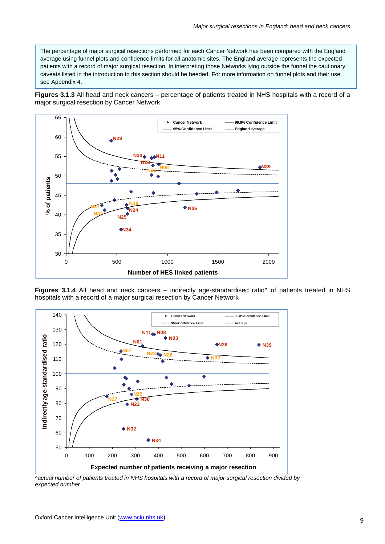The percentage of major surgical resections performed for each Cancer Network has been compared with the England average using funnel plots and confidence limits for all anatomic sites. The England average represents the expected patients with a record of major surgical resection. In interpreting those Networks lying outside the funnel the cautionary caveats listed in the introduction to this section should be heeded. For more information on funnel plots and their use see Appendix 4.

**Figures 3.1.3** All head and neck cancers – percentage of patients treated in NHS hospitals with a record of a major surgical resection by Cancer Network



Figures 3.1.4 All head and neck cancers – indirectly age-standardised ratio^ of patients treated in NHS hospitals with a record of a major surgical resection by Cancer Network



*^actual number of patients treated in NHS hospitals with a record of major surgical resection divided by expected number*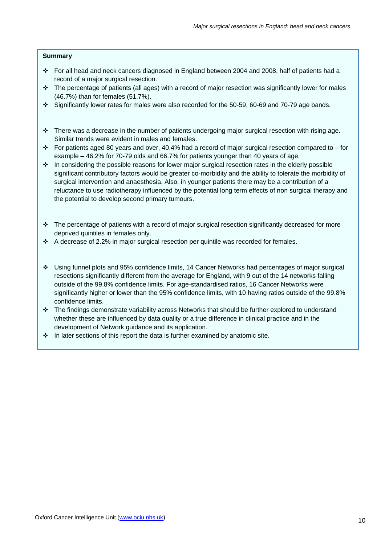#### **Summary**

- For all head and neck cancers diagnosed in England between 2004 and 2008, half of patients had a record of a major surgical resection.
- $\cdot \cdot$  The percentage of patients (all ages) with a record of major resection was significantly lower for males (46.7%) than for females (51.7%).
- Significantly lower rates for males were also recorded for the 50-59, 60-69 and 70-79 age bands.
- $\cdot \cdot$  There was a decrease in the number of patients undergoing major surgical resection with rising age. Similar trends were evident in males and females.
- For patients aged 80 years and over, 40.4% had a record of major surgical resection compared to for example – 46.2% for 70-79 olds and 66.7% for patients younger than 40 years of age.
- $\cdot$  In considering the possible reasons for lower major surgical resection rates in the elderly possible significant contributory factors would be greater co-morbidity and the ability to tolerate the morbidity of surgical intervention and anaesthesia. Also, in younger patients there may be a contribution of a reluctance to use radiotherapy influenced by the potential long term effects of non surgical therapy and the potential to develop second primary tumours.
- $\cdot \cdot$  The percentage of patients with a record of major surgical resection significantly decreased for more deprived quintiles in females only.
- $\div$  A decrease of 2.2% in major surgical resection per quintile was recorded for females.
- Using funnel plots and 95% confidence limits, 14 Cancer Networks had percentages of major surgical resections significantly different from the average for England, with 9 out of the 14 networks falling outside of the 99.8% confidence limits. For age-standardised ratios, 16 Cancer Networks were significantly higher or lower than the 95% confidence limits, with 10 having ratios outside of the 99.8% confidence limits.
- $\cdot \cdot$  The findings demonstrate variability across Networks that should be further explored to understand whether these are influenced by data quality or a true difference in clinical practice and in the development of Network guidance and its application.
- $\cdot \cdot$  In later sections of this report the data is further examined by anatomic site.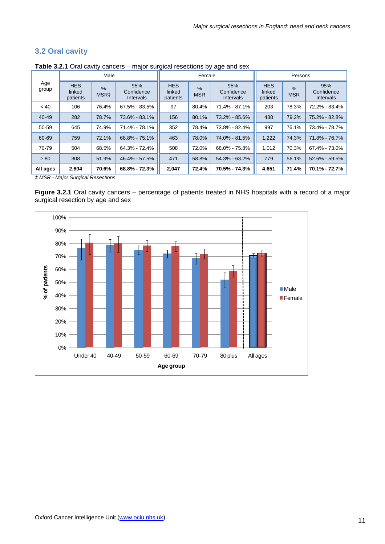## **3.2 Oral cavity**

|              |                                                                                                                | Male  |                   |                                  | Female                                                               |                   | Persons                          |                             |                                |  |
|--------------|----------------------------------------------------------------------------------------------------------------|-------|-------------------|----------------------------------|----------------------------------------------------------------------|-------------------|----------------------------------|-----------------------------|--------------------------------|--|
| Age<br>group | <b>HES</b><br>95%<br>$\frac{9}{6}$<br>linked<br>Confidence<br>MSR <sub>‡</sub><br>patients<br><b>Intervals</b> |       |                   | <b>HES</b><br>linked<br>patients | 95%<br>$\frac{9}{6}$<br>Confidence<br><b>MSR</b><br><b>Intervals</b> |                   | <b>HES</b><br>linked<br>patients | $\frac{9}{6}$<br><b>MSR</b> | 95%<br>Confidence<br>Intervals |  |
| < 40         | 106                                                                                                            | 76.4% | 67.5% - 83.5%     | 97                               | 80.4%                                                                | 71.4% - 87.1%     | 203                              | 78.3%                       | 72.2% - 83.4%                  |  |
| $40 - 49$    | 282                                                                                                            | 78.7% | 73.6% - 83.1%     | 156                              | 80.1%                                                                | 73.2% - 85.6%     | 438                              | 79.2%                       | 75.2% - 82.8%                  |  |
| 50-59        | 645                                                                                                            | 74.9% | 71.4% - 78.1%     | 352                              | 78.4%                                                                | 73.8% - 82.4%     | 997                              | 76.1%                       | 73.4% - 78.7%                  |  |
| 60-69        | 759                                                                                                            | 72.1% | 68.8% - 75.1%     | 463                              | 78.0%                                                                | 74.0% - 81.5%     | 1,222                            | 74.3%                       | 71.8% - 76.7%                  |  |
| 70-79        | 504                                                                                                            | 68.5% | $64.3\% - 72.4\%$ | 508                              | 72.0%                                                                | 68.0% - 75.8%     | 1,012                            | 70.3%                       | 67.4% - 73.0%                  |  |
| $\geq 80$    | 308                                                                                                            | 51.9% | 46.4% - 57.5%     | 471                              | 58.8%                                                                | $54.3\% - 63.2\%$ | 779                              | 56.1%                       | 52.6% - 59.5%                  |  |
| All ages     | 2,604                                                                                                          | 70.6% | 68.8% - 72.3%     | 2,047                            | 72.4%                                                                | 70.5% - 74.3%     | 4,651                            | 71.4%                       | 70.1% - 72.7%                  |  |

**Table 3.2.1** Oral cavity cancers – major surgical resections by age and sex

*‡ MSR - Major Surgical Resections* 

**Figure 3.2.1** Oral cavity cancers – percentage of patients treated in NHS hospitals with a record of a major surgical resection by age and sex

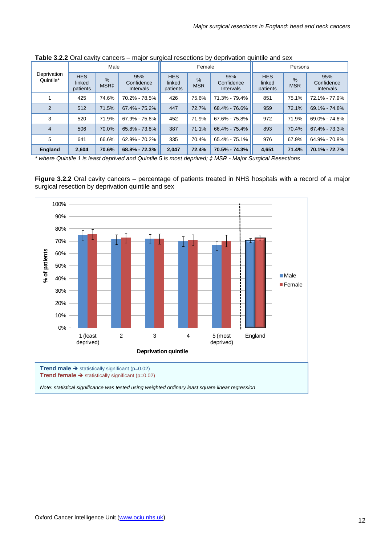|                          |                                  | Male                     |                                       |                                  | Female                      |                                | Persons                          |                             |                                       |  |
|--------------------------|----------------------------------|--------------------------|---------------------------------------|----------------------------------|-----------------------------|--------------------------------|----------------------------------|-----------------------------|---------------------------------------|--|
| Deprivation<br>Quintile* | <b>HES</b><br>linked<br>patients | $\%$<br>MSR <sub>‡</sub> | 95%<br>Confidence<br><b>Intervals</b> | <b>HES</b><br>linked<br>patients | $\frac{9}{6}$<br><b>MSR</b> | 95%<br>Confidence<br>Intervals | <b>HES</b><br>linked<br>patients | $\frac{9}{6}$<br><b>MSR</b> | 95%<br>Confidence<br><b>Intervals</b> |  |
|                          | 425                              | 74.6%                    | 70.2% - 78.5%                         | 426                              | 75.6%                       | 71.3% - 79.4%                  | 851                              | 75.1%                       | 72.1% - 77.9%                         |  |
| 2                        | 512                              | 71.5%                    | 67.4% - 75.2%                         | 447                              | 72.7%                       | 68.4% - 76.6%                  | 959                              | 72.1%                       | 69.1% - 74.8%                         |  |
| 3                        | 520                              | 71.9%                    | 67.9% - 75.6%                         | 452                              | 71.9%                       | 67.6% - 75.8%                  | 972                              | 71.9%                       | 69.0% - 74.6%                         |  |
| $\overline{4}$           | 506                              | 70.0%                    | 65.8% - 73.8%                         | 387                              | 71.1%                       | 66.4% - 75.4%                  | 893                              | 70.4%                       | 67.4% - 73.3%                         |  |
| 5                        | 641                              | 66.6%                    | 62.9% - 70.2%                         | 335                              | 70.4%                       | 65.4% - 75.1%                  | 976                              | 67.9%                       | 64.9% - 70.8%                         |  |
| <b>England</b>           | 2,604                            | 70.6%                    | 68.8% - 72.3%                         | 2,047                            | 72.4%                       | 70.5% - 74.3%                  | 4,651                            | 71.4%                       | 70.1% - 72.7%                         |  |

**Table 3.2.2** Oral cavity cancers – major surgical resections by deprivation quintile and sex

*\* where Quintile 1 is least deprived and Quintile 5 is most deprived; ‡ MSR - Major Surgical Resections* 

**Figure 3.2.2** Oral cavity cancers – percentage of patients treated in NHS hospitals with a record of a major surgical resection by deprivation quintile and sex

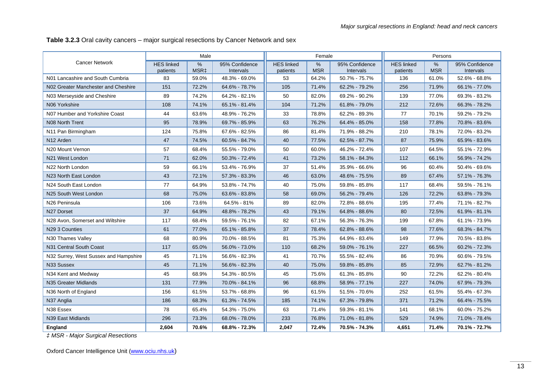**Table 3.2.3** Oral cavity cancers – major surgical resections by Cancer Network and sex

|                                       |                               | Male         |                             |                               | Female                      |                                    |                               | Persons            |                             |
|---------------------------------------|-------------------------------|--------------|-----------------------------|-------------------------------|-----------------------------|------------------------------------|-------------------------------|--------------------|-----------------------------|
| <b>Cancer Network</b>                 | <b>HES linked</b><br>patients | $\%$<br>MSR‡ | 95% Confidence<br>Intervals | <b>HES linked</b><br>patients | $\frac{0}{0}$<br><b>MSR</b> | 95% Confidence<br><b>Intervals</b> | <b>HES</b> linked<br>patients | $\%$<br><b>MSR</b> | 95% Confidence<br>Intervals |
| N01 Lancashire and South Cumbria      | 83                            | 59.0%        | 48.3% - 69.0%               | 53                            | 64.2%                       | 50.7% - 75.7%                      | 136                           | 61.0%              | 52.6% - 68.8%               |
| N02 Greater Manchester and Cheshire   | 151                           | 72.2%        | 64.6% - 78.7%               | 105                           | 71.4%                       | 62.2% - 79.2%                      | 256                           | 71.9%              | 66.1% - 77.0%               |
| N03 Merseyside and Cheshire           | 89                            | 74.2%        | 64.2% - 82.1%               | 50                            | 82.0%                       | 69.2% - 90.2%                      | 139                           | 77.0%              | 69.3% - 83.2%               |
| N06 Yorkshire                         | 108                           | 74.1%        | 65.1% - 81.4%               | 104                           | 71.2%                       | 61.8% - 79.0%                      | 212                           | 72.6%              | 66.3% - 78.2%               |
| N07 Humber and Yorkshire Coast        | 44                            | 63.6%        | 48.9% - 76.2%               | 33                            | 78.8%                       | 62.2% - 89.3%                      | 77                            | 70.1%              | 59.2% - 79.2%               |
| N08 North Trent                       | 95                            | 78.9%        | 69.7% - 85.9%               | 63                            | 76.2%                       | 64.4% - 85.0%                      | 158                           | 77.8%              | 70.8% - 83.6%               |
| N11 Pan Birmingham                    | 124                           | 75.8%        | 67.6% - 82.5%               | 86                            | 81.4%                       | 71.9% - 88.2%                      | 210                           | 78.1%              | 72.0% - 83.2%               |
| N <sub>12</sub> Arden                 | 47                            | 74.5%        | 60.5% - 84.7%               | 40                            | 77.5%                       | 62.5% - 87.7%                      | 87                            | 75.9%              | 65.9% - 83.6%               |
| N <sub>20</sub> Mount Vernon          | 57                            | 68.4%        | 55.5% - 79.0%               | 50                            | 60.0%                       | 46.2% - 72.4%                      | 107                           | 64.5%              | 55.1% - 72.9%               |
| N21 West London                       | 71                            | 62.0%        | 50.3% - 72.4%               | 41                            | 73.2%                       | 58.1% - 84.3%                      | 112                           | 66.1%              | 56.9% - 74.2%               |
| N22 North London                      | 59                            | 66.1%        | 53.4% - 76.9%               | 37                            | 51.4%                       | 35.9% - 66.6%                      | 96                            | 60.4%              | 50.4% - 69.6%               |
| N23 North East London                 | 43                            | 72.1%        | 57.3% - 83.3%               | 46                            | 63.0%                       | 48.6% - 75.5%                      | 89                            | 67.4%              | 57.1% - 76.3%               |
| N24 South East London                 | 77                            | 64.9%        | 53.8% - 74.7%               | 40                            | 75.0%                       | 59.8% - 85.8%                      | 117                           | 68.4%              | 59.5% - 76.1%               |
| N25 South West London                 | 68                            | 75.0%        | 63.6% - 83.8%               | 58                            | 69.0%                       | 56.2% - 79.4%                      | 126                           | 72.2%              | 63.8% - 79.3%               |
| N26 Peninsula                         | 106                           | 73.6%        | 64.5% - 81%                 | 89                            | 82.0%                       | 72.8% - 88.6%                      | 195                           | 77.4%              | 71.1% - 82.7%               |
| N27 Dorset                            | 37                            | 64.9%        | 48.8% - 78.2%               | 43                            | 79.1%                       | 64.8% - 88.6%                      | 80                            | 72.5%              | 61.9% - 81.1%               |
| N28 Avon, Somerset and Wiltshire      | 117                           | 68.4%        | 59.5% - 76.1%               | 82                            | 67.1%                       | 56.3% - 76.3%                      | 199                           | 67.8%              | 61.1% - 73.9%               |
| N29 3 Counties                        | 61                            | 77.0%        | 65.1% - 85.8%               | 37                            | 78.4%                       | 62.8% - 88.6%                      | 98                            | 77.6%              | 68.3% - 84.7%               |
| N30 Thames Valley                     | 68                            | 80.9%        | 70.0% - 88.5%               | 81                            | 75.3%                       | 64.9% - 83.4%                      | 149                           | 77.9%              | 70.5% - 83.8%               |
| N31 Central South Coast               | 117                           | 65.0%        | 56.0% - 73.0%               | 110                           | 68.2%                       | 59.0% - 76.1%                      | 227                           | 66.5%              | 60.2% - 72.3%               |
| N32 Surrey, West Sussex and Hampshire | 45                            | 71.1%        | 56.6% - 82.3%               | 41                            | 70.7%                       | 55.5% - 82.4%                      | 86                            | 70.9%              | 60.6% - 79.5%               |
| N33 Sussex                            | 45                            | 71.1%        | 56.6% - 82.3%               | 40                            | 75.0%                       | 59.8% - 85.8%                      | 85                            | 72.9%              | 62.7% - 81.2%               |
| N34 Kent and Medway                   | 45                            | 68.9%        | 54.3% - 80.5%               | 45                            | 75.6%                       | 61.3% - 85.8%                      | 90                            | 72.2%              | 62.2% - 80.4%               |
| N35 Greater Midlands                  | 131                           | 77.9%        | 70.0% - 84.1%               | 96                            | 68.8%                       | 58.9% - 77.1%                      | 227                           | 74.0%              | 67.9% - 79.3%               |
| N36 North of England                  | 156                           | 61.5%        | 53.7% - 68.8%               | 96                            | 61.5%                       | 51.5% - 70.6%                      | 252                           | 61.5%              | 55.4% - 67.3%               |
| N37 Anglia                            | 186                           | 68.3%        | 61.3% - 74.5%               | 185                           | 74.1%                       | 67.3% - 79.8%                      | 371                           | 71.2%              | 66.4% - 75.5%               |
| N38 Essex                             | 78                            | 65.4%        | 54.3% - 75.0%               | 63                            | 71.4%                       | 59.3% - 81.1%                      | 141                           | 68.1%              | 60.0% - 75.2%               |
| N39 East Midlands                     | 296                           | 73.3%        | 68.0% - 78.0%               | 233                           | 76.8%                       | 71.0% - 81.8%                      | 529                           | 74.9%              | 71.0% - 78.4%               |
| England                               | 2,604                         | 70.6%        | 68.8% - 72.3%               | 2,047                         | 72.4%                       | 70.5% - 74.3%                      | 4,651                         | 71.4%              | 70.1% - 72.7%               |

*‡ MSR - Major Surgical Resections*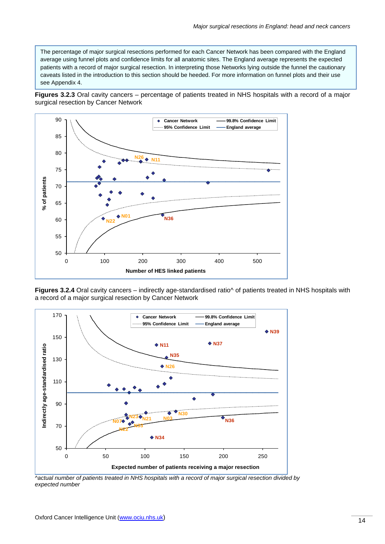The percentage of major surgical resections performed for each Cancer Network has been compared with the England average using funnel plots and confidence limits for all anatomic sites. The England average represents the expected patients with a record of major surgical resection. In interpreting those Networks lying outside the funnel the cautionary caveats listed in the introduction to this section should be heeded. For more information on funnel plots and their use see Appendix 4.

**Figures 3.2.3** Oral cavity cancers – percentage of patients treated in NHS hospitals with a record of a major surgical resection by Cancer Network



Figures 3.2.4 Oral cavity cancers – indirectly age-standardised ratio^ of patients treated in NHS hospitals with a record of a major surgical resection by Cancer Network



*^actual number of patients treated in NHS hospitals with a record of major surgical resection divided by expected number*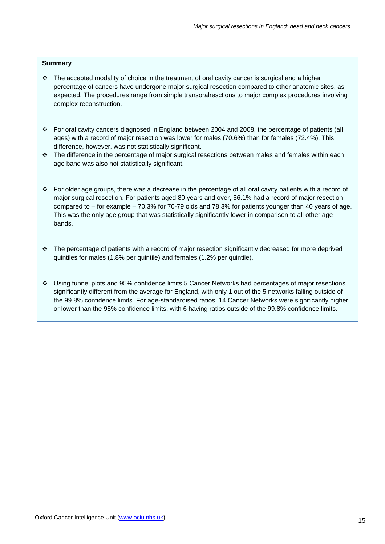#### **Summary**

- $\cdot \cdot$  The accepted modality of choice in the treatment of oral cavity cancer is surgical and a higher percentage of cancers have undergone major surgical resection compared to other anatomic sites, as expected. The procedures range from simple transoralresctions to major complex procedures involving complex reconstruction.
- For oral cavity cancers diagnosed in England between 2004 and 2008, the percentage of patients (all ages) with a record of major resection was lower for males (70.6%) than for females (72.4%). This difference, however, was not statistically significant.
- $\cdot \cdot$  The difference in the percentage of major surgical resections between males and females within each age band was also not statistically significant.
- For older age groups, there was a decrease in the percentage of all oral cavity patients with a record of major surgical resection. For patients aged 80 years and over, 56.1% had a record of major resection compared to – for example – 70.3% for 70-79 olds and 78.3% for patients younger than 40 years of age. This was the only age group that was statistically significantly lower in comparison to all other age bands.
- The percentage of patients with a record of major resection significantly decreased for more deprived quintiles for males (1.8% per quintile) and females (1.2% per quintile).
- Using funnel plots and 95% confidence limits 5 Cancer Networks had percentages of major resections significantly different from the average for England, with only 1 out of the 5 networks falling outside of the 99.8% confidence limits. For age-standardised ratios, 14 Cancer Networks were significantly higher or lower than the 95% confidence limits, with 6 having ratios outside of the 99.8% confidence limits.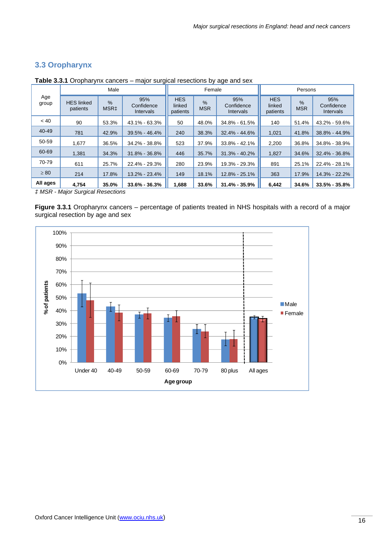## **3.3 Oropharynx**

|                      |                               | Male                  |                                       |                                  | Female                      |                                       | Persons                          |                             |                                       |  |
|----------------------|-------------------------------|-----------------------|---------------------------------------|----------------------------------|-----------------------------|---------------------------------------|----------------------------------|-----------------------------|---------------------------------------|--|
| Age<br>group         | <b>HES</b> linked<br>patients | %<br>MSR <sub>‡</sub> | 95%<br>Confidence<br><b>Intervals</b> | <b>HES</b><br>linked<br>patients | $\frac{9}{6}$<br><b>MSR</b> | 95%<br>Confidence<br><b>Intervals</b> | <b>HES</b><br>linked<br>patients | $\frac{9}{6}$<br><b>MSR</b> | 95%<br>Confidence<br><b>Intervals</b> |  |
| < 40                 | 90                            | 53.3%                 | 43.1% - 63.3%                         | 50                               | 48.0%                       | 34.8% - 61.5%                         | 140                              | 51.4%                       | 43.2% - 59.6%                         |  |
| 40-49                | 781                           | 42.9%                 | 39.5% - 46.4%                         | 240                              | 38.3%                       | 32.4% - 44.6%                         | 1,021                            | 41.8%                       | 38.8% - 44.9%                         |  |
| 50-59                | 1.677                         | 36.5%                 | 34.2% - 38.8%                         | 523                              | 37.9%                       | 33.8% - 42.1%                         | 2,200                            | 36.8%                       | 34.8% - 38.9%                         |  |
| 60-69                | 1.381                         | 34.3%                 | $31.8\% - 36.8\%$                     | 446                              | 35.7%                       | $31.3\% - 40.2\%$                     | 1,827                            | 34.6%                       | 32.4% - 36.8%                         |  |
| 70-79                | 611                           | 25.7%                 | 22.4% - 29.3%                         | 280                              | 23.9%                       | 19.3% - 29.3%                         | 891                              | 25.1%                       | 22.4% - 28.1%                         |  |
| $\geq 80$            | 214                           | 17.8%                 | 13.2% - 23.4%                         | 149                              | 18.1%                       | 12.8% - 25.1%                         | 363                              | 17.9%                       | 14.3% - 22.2%                         |  |
| All ages<br>$\cdots$ | 4,754                         | 35.0%                 | $33.6\% - 36.3\%$                     | 1,688                            | 33.6%                       | $31.4\% - 35.9\%$                     | 6,442                            | 34.6%                       | $33.5\% - 35.8\%$                     |  |

**Table 3.3.1** Oropharynx cancers – major surgical resections by age and sex

*‡ MSR - Major Surgical Resections* 

**Figure 3.3.1** Oropharynx cancers – percentage of patients treated in NHS hospitals with a record of a major surgical resection by age and sex

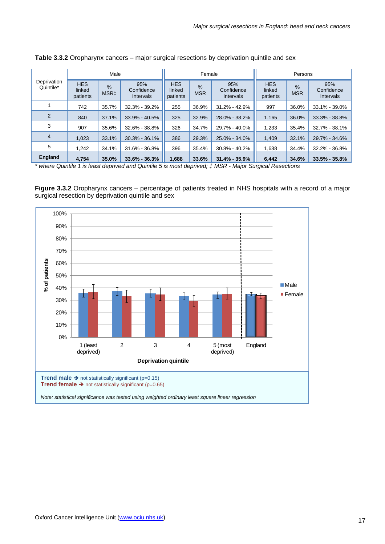|                          |                                  | Male                     |                                       | Female                           |                             | Persons                        |                                  |                             |                                       |
|--------------------------|----------------------------------|--------------------------|---------------------------------------|----------------------------------|-----------------------------|--------------------------------|----------------------------------|-----------------------------|---------------------------------------|
| Deprivation<br>Quintile* | <b>HES</b><br>linked<br>patients | $\%$<br>MSR <sub>‡</sub> | 95%<br>Confidence<br><b>Intervals</b> | <b>HES</b><br>linked<br>patients | $\frac{9}{6}$<br><b>MSR</b> | 95%<br>Confidence<br>Intervals | <b>HES</b><br>linked<br>patients | $\frac{9}{6}$<br><b>MSR</b> | 95%<br>Confidence<br><b>Intervals</b> |
|                          | 742                              | 35.7%                    | 32.3% - 39.2%                         | 255                              | 36.9%                       | $31.2\% - 42.9\%$              | 997                              | 36.0%                       | 33.1% - 39.0%                         |
| 2                        | 840                              | 37.1%                    | $33.9\% - 40.5\%$                     | 325                              | 32.9%                       | 28.0% - 38.2%                  | 1.165                            | 36.0%                       | 33.3% - 38.8%                         |
| 3                        | 907                              | 35.6%                    | 32.6% - 38.8%                         | 326                              | 34.7%                       | 29.7% - 40.0%                  | 1,233                            | 35.4%                       | 32.7% - 38.1%                         |
| 4                        | 1,023                            | 33.1%                    | $30.3\% - 36.1\%$                     | 386                              | 29.3%                       | 25.0% - 34.0%                  | 1,409                            | 32.1%                       | 29.7% - 34.6%                         |
| 5                        | 1.242                            | 34.1%                    | 31.6% - 36.8%                         | 396                              | 35.4%                       | $30.8\% - 40.2\%$              | 1,638                            | 34.4%                       | 32.2% - 36.8%                         |
| <b>England</b>           | 4,754                            | 35.0%                    | $33.6\% - 36.3\%$                     | 1,688                            | 33.6%                       | $31.4\% - 35.9\%$              | 6,442                            | 34.6%                       | $33.5\% - 35.8\%$                     |

**Table 3.3.2** Oropharynx cancers – major surgical resections by deprivation quintile and sex

*\* where Quintile 1 is least deprived and Quintile 5 is most deprived; ‡ MSR - Major Surgical Resections*

**Figure 3.3.2** Oropharynx cancers – percentage of patients treated in NHS hospitals with a record of a major surgical resection by deprivation quintile and sex

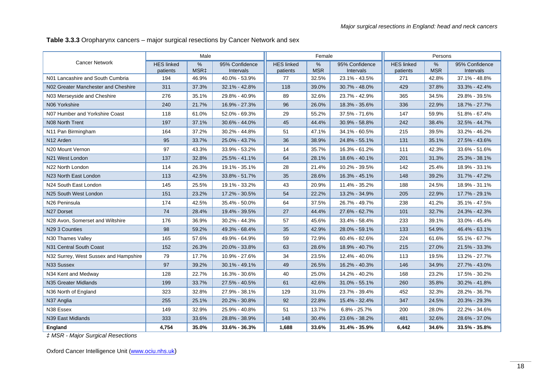**Table 3.3.3** Oropharynx cancers – major surgical resections by Cancer Network and sex

|                                       |                               | Male                  |                             |                               | Female          |                                    |                               | Persons            |                             |
|---------------------------------------|-------------------------------|-----------------------|-----------------------------|-------------------------------|-----------------|------------------------------------|-------------------------------|--------------------|-----------------------------|
| <b>Cancer Network</b>                 | <b>HES linked</b><br>patients | $\frac{0}{0}$<br>MSR‡ | 95% Confidence<br>Intervals | <b>HES linked</b><br>patients | %<br><b>MSR</b> | 95% Confidence<br><b>Intervals</b> | <b>HES linked</b><br>patients | $\%$<br><b>MSR</b> | 95% Confidence<br>Intervals |
| N01 Lancashire and South Cumbria      | 194                           | 46.9%                 | 40.0% - 53.9%               | 77                            | 32.5%           | 23.1% - 43.5%                      | 271                           | 42.8%              | 37.1% - 48.8%               |
| N02 Greater Manchester and Cheshire   | 311                           | 37.3%                 | 32.1% - 42.8%               | 118                           | 39.0%           | 30.7% - 48.0%                      | 429                           | 37.8%              | 33.3% - 42.4%               |
| N03 Merseyside and Cheshire           | 276                           | 35.1%                 | 29.8% - 40.9%               | 89                            | 32.6%           | 23.7% - 42.9%                      | 365                           | 34.5%              | 29.8% - 39.5%               |
| N06 Yorkshire                         | 240                           | 21.7%                 | 16.9% - 27.3%               | 96                            | 26.0%           | 18.3% - 35.6%                      | 336                           | 22.9%              | 18.7% - 27.7%               |
| N07 Humber and Yorkshire Coast        | 118                           | 61.0%                 | 52.0% - 69.3%               | 29                            | 55.2%           | 37.5% - 71.6%                      | 147                           | 59.9%              | 51.8% - 67.4%               |
| N08 North Trent                       | 197                           | 37.1%                 | 30.6% - 44.0%               | 45                            | 44.4%           | 30.9% - 58.8%                      | 242                           | 38.4%              | 32.5% - 44.7%               |
| N11 Pan Birmingham                    | 164                           | 37.2%                 | 30.2% - 44.8%               | 51                            | 47.1%           | 34.1% - 60.5%                      | 215                           | 39.5%              | 33.2% - 46.2%               |
| N <sub>12</sub> Arden                 | 95                            | 33.7%                 | 25.0% - 43.7%               | 36                            | 38.9%           | 24.8% - 55.1%                      | 131                           | 35.1%              | 27.5% - 43.6%               |
| N20 Mount Vernon                      | 97                            | 43.3%                 | 33.9% - 53.2%               | 14                            | 35.7%           | 16.3% - 61.2%                      | 111                           | 42.3%              | 33.6% - 51.6%               |
| N <sub>21</sub> West London           | 137                           | 32.8%                 | 25.5% - 41.1%               | 64                            | 28.1%           | 18.6% - 40.1%                      | 201                           | 31.3%              | 25.3% - 38.1%               |
| N22 North London                      | 114                           | 26.3%                 | 19.1% - 35.1%               | 28                            | 21.4%           | 10.2% - 39.5%                      | 142                           | 25.4%              | 18.9% - 33.1%               |
| N23 North East London                 | 113                           | 42.5%                 | 33.8% - 51.7%               | 35                            | 28.6%           | 16.3% - 45.1%                      | 148                           | 39.2%              | 31.7% - 47.2%               |
| N24 South East London                 | 145                           | 25.5%                 | 19.1% - 33.2%               | 43                            | 20.9%           | 11.4% - 35.2%                      | 188                           | 24.5%              | 18.9% - 31.1%               |
| N25 South West London                 | 151                           | 23.2%                 | 17.2% - 30.5%               | 54                            | 22.2%           | 13.2% - 34.9%                      | 205                           | 22.9%              | 17.7% - 29.1%               |
| N26 Peninsula                         | 174                           | 42.5%                 | 35.4% - 50.0%               | 64                            | 37.5%           | 26.7% - 49.7%                      | 238                           | 41.2%              | 35.1% - 47.5%               |
| N27 Dorset                            | 74                            | 28.4%                 | 19.4% - 39.5%               | 27                            | 44.4%           | 27.6% - 62.7%                      | 101                           | 32.7%              | 24.3% - 42.3%               |
| N28 Avon, Somerset and Wiltshire      | 176                           | 36.9%                 | 30.2% - 44.3%               | 57                            | 45.6%           | 33.4% - 58.4%                      | 233                           | 39.1%              | 33.0% - 45.4%               |
| N29 3 Counties                        | 98                            | 59.2%                 | 49.3% - 68.4%               | 35                            | 42.9%           | 28.0% - 59.1%                      | 133                           | 54.9%              | 46.4% - 63.1%               |
| N30 Thames Valley                     | 165                           | 57.6%                 | 49.9% - 64.9%               | 59                            | 72.9%           | 60.4% - 82.6%                      | 224                           | 61.6%              | 55.1% - 67.7%               |
| N31 Central South Coast               | 152                           | 26.3%                 | 20.0% - 33.8%               | 63                            | 28.6%           | 18.9% - 40.7%                      | 215                           | 27.0%              | 21.5% - 33.3%               |
| N32 Surrey, West Sussex and Hampshire | 79                            | 17.7%                 | 10.9% - 27.6%               | 34                            | 23.5%           | 12.4% - 40.0%                      | 113                           | 19.5%              | 13.2% - 27.7%               |
| N33 Sussex                            | 97                            | 39.2%                 | 30.1% - 49.1%               | 49                            | 26.5%           | 16.2% - 40.3%                      | 146                           | 34.9%              | 27.7% - 43.0%               |
| N34 Kent and Medway                   | 128                           | 22.7%                 | 16.3% - 30.6%               | 40                            | 25.0%           | 14.2% - 40.2%                      | 168                           | 23.2%              | 17.5% - 30.2%               |
| N35 Greater Midlands                  | 199                           | 33.7%                 | 27.5% - 40.5%               | 61                            | 42.6%           | 31.0% - 55.1%                      | 260                           | 35.8%              | 30.2% - 41.8%               |
| N36 North of England                  | 323                           | 32.8%                 | 27.9% - 38.1%               | 129                           | 31.0%           | 23.7% - 39.4%                      | 452                           | 32.3%              | 28.2% - 36.7%               |
| N37 Anglia                            | 255                           | 25.1%                 | 20.2% - 30.8%               | 92                            | 22.8%           | 15.4% - 32.4%                      | 347                           | 24.5%              | 20.3% - 29.3%               |
| N38 Essex                             | 149                           | 32.9%                 | 25.9% - 40.8%               | 51                            | 13.7%           | $6.8\% - 25.7\%$                   | 200                           | 28.0%              | 22.2% - 34.6%               |
| N39 East Midlands                     | 333                           | 33.6%                 | 28.8% - 38.9%               | 148                           | 30.4%           | 23.6% - 38.2%                      | 481                           | 32.6%              | 28.6% - 37.0%               |
| England                               | 4,754                         | 35.0%                 | 33.6% - 36.3%               | 1,688                         | 33.6%           | 31.4% - 35.9%                      | 6,442                         | 34.6%              | 33.5% - 35.8%               |

*‡ MSR - Major Surgical Resections*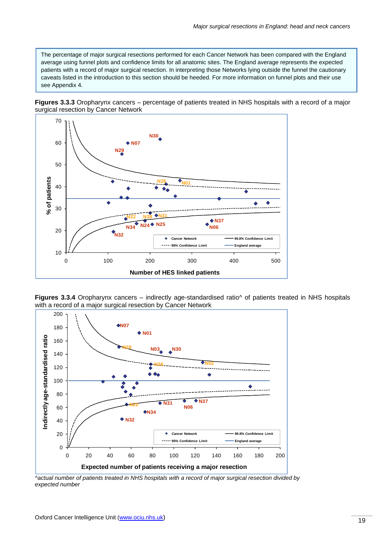The percentage of major surgical resections performed for each Cancer Network has been compared with the England average using funnel plots and confidence limits for all anatomic sites. The England average represents the expected patients with a record of major surgical resection. In interpreting those Networks lying outside the funnel the cautionary caveats listed in the introduction to this section should be heeded. For more information on funnel plots and their use see Appendix 4.





**Figures 3.3.4** Oropharynx cancers – indirectly age-standardised ratio<sup> $\land$ </sup> of patients treated in NHS hospitals with a record of a major surgical resection by Cancer Network

![](_page_21_Figure_5.jpeg)

*^actual number of patients treated in NHS hospitals with a record of major surgical resection divided by expected number*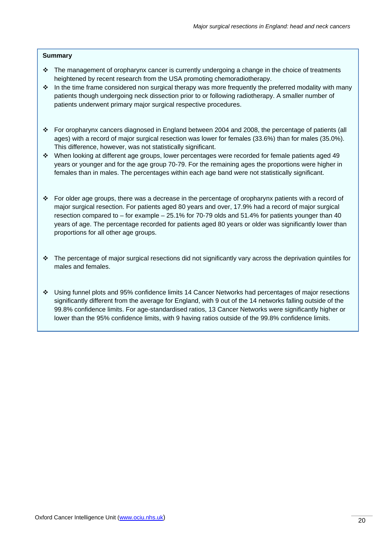#### **Summary**

- $\cdot \cdot$  The management of oropharynx cancer is currently undergoing a change in the choice of treatments heightened by recent research from the USA promoting chemoradiotherapy.
- $\cdot \cdot$  In the time frame considered non surgical therapy was more frequently the preferred modality with many patients though undergoing neck dissection prior to or following radiotherapy. A smaller number of patients underwent primary major surgical respective procedures.
- For oropharynx cancers diagnosed in England between 2004 and 2008, the percentage of patients (all ages) with a record of major surgical resection was lower for females (33.6%) than for males (35.0%). This difference, however, was not statistically significant.
- When looking at different age groups, lower percentages were recorded for female patients aged 49 years or younger and for the age group 70-79. For the remaining ages the proportions were higher in females than in males. The percentages within each age band were not statistically significant.
- For older age groups, there was a decrease in the percentage of oropharynx patients with a record of major surgical resection. For patients aged 80 years and over, 17.9% had a record of major surgical resection compared to – for example – 25.1% for 70-79 olds and 51.4% for patients younger than 40 years of age. The percentage recorded for patients aged 80 years or older was significantly lower than proportions for all other age groups.
- $\cdot \cdot$  The percentage of major surgical resections did not significantly vary across the deprivation quintiles for males and females.
- Using funnel plots and 95% confidence limits 14 Cancer Networks had percentages of major resections significantly different from the average for England, with 9 out of the 14 networks falling outside of the 99.8% confidence limits. For age-standardised ratios, 13 Cancer Networks were significantly higher or lower than the 95% confidence limits, with 9 having ratios outside of the 99.8% confidence limits.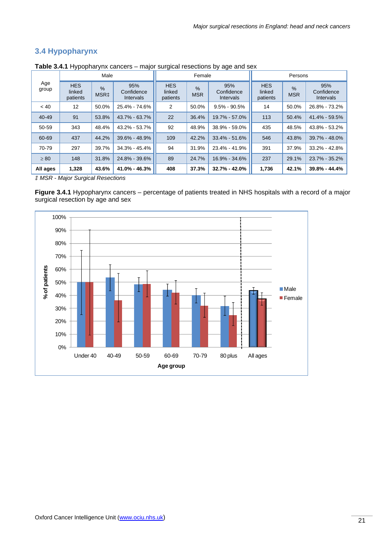## **3.4 Hypopharynx**

|              | Male                             |                                   |                                |                                                                 | Female |                                | Persons                          |                             |                                       |  |
|--------------|----------------------------------|-----------------------------------|--------------------------------|-----------------------------------------------------------------|--------|--------------------------------|----------------------------------|-----------------------------|---------------------------------------|--|
| Age<br>group | <b>HES</b><br>linked<br>patients | $\frac{9}{6}$<br>MSR <sub>‡</sub> | 95%<br>Confidence<br>Intervals | <b>HES</b><br>$\frac{9}{6}$<br>linked<br><b>MSR</b><br>patients |        | 95%<br>Confidence<br>Intervals | <b>HES</b><br>linked<br>patients | $\frac{0}{0}$<br><b>MSR</b> | 95%<br>Confidence<br><b>Intervals</b> |  |
| ~< 40        | 12                               | 50.0%                             | 25.4% - 74.6%                  | 2                                                               | 50.0%  | $9.5\% - 90.5\%$               | 14                               | 50.0%                       | 26.8% - 73.2%                         |  |
| $40 - 49$    | 91                               | 53.8%                             | $43.7\% - 63.7\%$              | 22                                                              | 36.4%  | 19.7% - 57.0%                  | 113                              | 50.4%                       | 41.4% - 59.5%                         |  |
| 50-59        | 343                              | 48.4%                             | 43.2% - 53.7%                  | 92                                                              | 48.9%  | 38.9% - 59.0%                  | 435                              | 48.5%                       | 43.8% - 53.2%                         |  |
| 60-69        | 437                              | 44.2%                             | $39.6\% - 48.9\%$              | 109                                                             | 42.2%  | $33.4\% - 51.6\%$              | 546                              | 43.8%                       | $39.7\% - 48.0\%$                     |  |
| 70-79        | 297                              | 39.7%                             | $34.3\% - 45.4\%$              | 94                                                              | 31.9%  | 23.4% - 41.9%                  | 391                              | 37.9%                       | $33.2\% - 42.8\%$                     |  |
| $\geq 80$    | 148                              | 31.8%                             | 24.8% - 39.6%                  | 89                                                              | 24.7%  | 16.9% - 34.6%                  | 237                              | 29.1%                       | $23.7\% - 35.2\%$                     |  |
| All ages     | 1,328                            | 43.6%                             | 41.0% - 46.3%                  | 408                                                             | 37.3%  | $32.7\% - 42.0\%$              | 1,736                            | 42.1%                       | $39.8\% - 44.4\%$                     |  |

**Table 3.4.1** Hypopharynx cancers – major surgical resections by age and sex

*‡ MSR - Major Surgical Resections*

**Figure 3.4.1** Hypopharynx cancers – percentage of patients treated in NHS hospitals with a record of a major surgical resection by age and sex

![](_page_23_Figure_6.jpeg)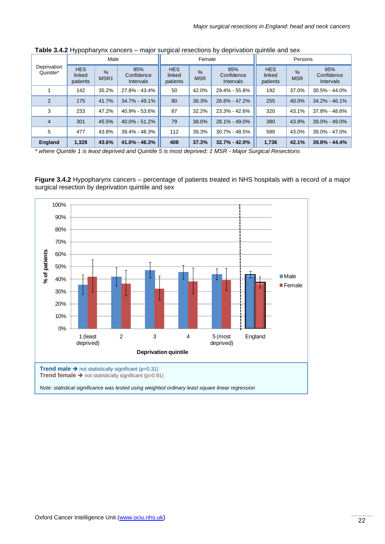| Male                     |                                  |           |                                       | Female                           |                                                               | Persons           |                                  |                             |                                |
|--------------------------|----------------------------------|-----------|---------------------------------------|----------------------------------|---------------------------------------------------------------|-------------------|----------------------------------|-----------------------------|--------------------------------|
| Deprivation<br>Quintile* | <b>HES</b><br>linked<br>patients | %<br>MSR‡ | 95%<br>Confidence<br><b>Intervals</b> | <b>HES</b><br>linked<br>patients | 95%<br>$\frac{9}{6}$<br>Confidence<br><b>MSR</b><br>Intervals |                   | <b>HES</b><br>linked<br>patients | $\frac{0}{6}$<br><b>MSR</b> | 95%<br>Confidence<br>Intervals |
|                          | 142                              | 35.2%     | 27.8% - 43.4%                         | 50                               | 42.0%                                                         | 29.4% - 55.8%     | 192                              | 37.0%                       | $30.5\% - 44.0\%$              |
| $\overline{2}$           | 175                              | 41.7%     | $34.7\% - 49.1\%$                     | 80                               | 36.3%                                                         | 26.6% - 47.2%     | 255                              | 40.0%                       | $34.2\% - 46.1\%$              |
| 3                        | 233                              | 47.2%     | 40.9% - 53.6%                         | 87                               | 32.2%                                                         | $23.3\% - 42.6\%$ | 320                              | 43.1%                       | 37.8% - 48.6%                  |
| 4                        | 301                              | 45.5%     | 40.0% - 51.2%                         | 79                               | 38.0%                                                         | 28.1% - 49.0%     | 380                              | 43.9%                       | 39.0% - 49.0%                  |
| 5                        | 477                              | 43.8%     | 39.4% - 48.3%                         | 112                              | 39.3%                                                         | $30.7\% - 48.5\%$ | 589                              | 43.0%                       | 39.0% - 47.0%                  |
| <b>England</b>           | 1,328                            | 43.6%     | $41.0\% - 46.3\%$                     | 408                              | 37.3%                                                         | $32.7\% - 42.0\%$ | 1,736                            | 42.1%                       | $39.8\% - 44.4\%$              |

**Table 3.4.2** Hypopharynx cancers – major surgical resections by deprivation quintile and sex

*\* where Quintile 1 is least deprived and Quintile 5 is most deprived; ‡ MSR - Major Surgical Resections* 

**Figure 3.4.2** Hypopharynx cancers – percentage of patients treated in NHS hospitals with a record of a major surgical resection by deprivation quintile and sex

![](_page_24_Figure_5.jpeg)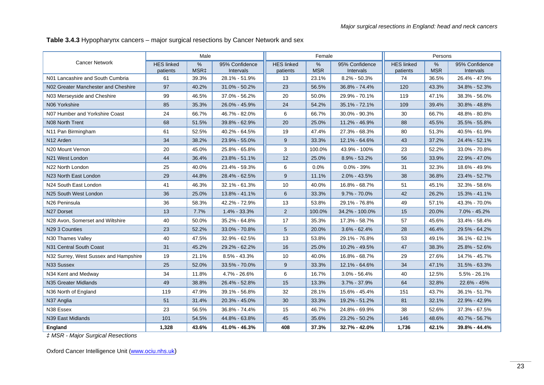**Table 3.4.3** Hypopharynx cancers – major surgical resections by Cancer Network and sex

|                                       |                               | Male                     |                             |                               | Female                      |                             |                               | Persons                     |                             |
|---------------------------------------|-------------------------------|--------------------------|-----------------------------|-------------------------------|-----------------------------|-----------------------------|-------------------------------|-----------------------------|-----------------------------|
| <b>Cancer Network</b>                 | <b>HES linked</b><br>patients | $\%$<br>MSR <sub>‡</sub> | 95% Confidence<br>Intervals | <b>HES</b> linked<br>patients | $\frac{0}{0}$<br><b>MSR</b> | 95% Confidence<br>Intervals | <b>HES</b> linked<br>patients | $\frac{9}{6}$<br><b>MSR</b> | 95% Confidence<br>Intervals |
| N01 Lancashire and South Cumbria      | 61                            | 39.3%                    | 28.1% - 51.9%               | 13                            | 23.1%                       | $8.2\% - 50.3\%$            | 74                            | 36.5%                       | 26.4% - 47.9%               |
| N02 Greater Manchester and Cheshire   | 97                            | 40.2%                    | 31.0% - 50.2%               | 23                            | 56.5%                       | 36.8% - 74.4%               | 120                           | 43.3%                       | 34.8% - 52.3%               |
| N03 Merseyside and Cheshire           | 99                            | 46.5%                    | 37.0% - 56.2%               | 20                            | 50.0%                       | 29.9% - 70.1%               | 119                           | 47.1%                       | 38.3% - 56.0%               |
| N06 Yorkshire                         | 85                            | 35.3%                    | 26.0% - 45.9%               | 24                            | 54.2%                       | 35.1% - 72.1%               | 109                           | 39.4%                       | 30.8% - 48.8%               |
| N07 Humber and Yorkshire Coast        | 24                            | 66.7%                    | 46.7% - 82.0%               | 6                             | 66.7%                       | 30.0% - 90.3%               | 30                            | 66.7%                       | 48.8% - 80.8%               |
| N08 North Trent                       | 68                            | 51.5%                    | 39.8% - 62.9%               | 20                            | 25.0%                       | 11.2% - 46.9%               | 88                            | 45.5%                       | 35.5% - 55.8%               |
| N11 Pan Birmingham                    | 61                            | 52.5%                    | 40.2% - 64.5%               | 19                            | 47.4%                       | 27.3% - 68.3%               | 80                            | 51.3%                       | 40.5% - 61.9%               |
| N <sub>12</sub> Arden                 | 34                            | 38.2%                    | 23.9% - 55.0%               | 9                             | 33.3%                       | 12.1% - 64.6%               | 43                            | 37.2%                       | 24.4% - 52.1%               |
| N20 Mount Vernon                      | 20                            | 45.0%                    | 25.8% - 65.8%               | 3                             | 100.0%                      | 43.9% - 100%                | 23                            | 52.2%                       | 33.0% - 70.8%               |
| N21 West London                       | 44                            | 36.4%                    | 23.8% - 51.1%               | 12                            | 25.0%                       | 8.9% - 53.2%                | 56                            | 33.9%                       | 22.9% - 47.0%               |
| N22 North London                      | 25                            | 40.0%                    | 23.4% - 59.3%               | 6                             | 0.0%                        | $0.0\% - 39\%$              | 31                            | 32.3%                       | 18.6% - 49.9%               |
| N23 North East London                 | 29                            | 44.8%                    | 28.4% - 62.5%               | 9                             | 11.1%                       | $2.0\% - 43.5\%$            | 38                            | 36.8%                       | 23.4% - 52.7%               |
| N24 South East London                 | 41                            | 46.3%                    | 32.1% - 61.3%               | 10                            | 40.0%                       | 16.8% - 68.7%               | 51                            | 45.1%                       | 32.3% - 58.6%               |
| N25 South West London                 | 36                            | 25.0%                    | 13.8% - 41.1%               | 6                             | 33.3%                       | $9.7\% - 70.0\%$            | 42                            | 26.2%                       | 15.3% - 41.1%               |
| N26 Peninsula                         | 36                            | 58.3%                    | 42.2% - 72.9%               | 13                            | 53.8%                       | 29.1% - 76.8%               | 49                            | 57.1%                       | 43.3% - 70.0%               |
| N27 Dorset                            | 13                            | 7.7%                     | $1.4\% - 33.3\%$            | $\overline{2}$                | 100.0%                      | 34.2% - 100.0%              | 15                            | 20.0%                       | 7.0% - 45.2%                |
| N28 Avon, Somerset and Wiltshire      | 40                            | 50.0%                    | 35.2% - 64.8%               | 17                            | 35.3%                       | 17.3% - 58.7%               | 57                            | 45.6%                       | 33.4% - 58.4%               |
| N29 3 Counties                        | 23                            | 52.2%                    | 33.0% - 70.8%               | 5                             | 20.0%                       | $3.6\% - 62.4\%$            | 28                            | 46.4%                       | 29.5% - 64.2%               |
| N30 Thames Valley                     | 40                            | 47.5%                    | 32.9% - 62.5%               | 13                            | 53.8%                       | 29.1% - 76.8%               | 53                            | 49.1%                       | 36.1% - 62.1%               |
| N31 Central South Coast               | 31                            | 45.2%                    | 29.2% - 62.2%               | 16                            | 25.0%                       | 10.2% - 49.5%               | 47                            | 38.3%                       | 25.8% - 52.6%               |
| N32 Surrey, West Sussex and Hampshire | 19                            | 21.1%                    | $8.5\% - 43.3\%$            | 10                            | 40.0%                       | 16.8% - 68.7%               | 29                            | 27.6%                       | 14.7% - 45.7%               |
| N33 Sussex                            | 25                            | 52.0%                    | 33.5% - 70.0%               | 9                             | 33.3%                       | 12.1% - 64.6%               | 34                            | 47.1%                       | 31.5% - 63.3%               |
| N34 Kent and Medway                   | 34                            | 11.8%                    | 4.7% - 26.6%                | 6                             | 16.7%                       | $3.0\% - 56.4\%$            | 40                            | 12.5%                       | $5.5\% - 26.1\%$            |
| N35 Greater Midlands                  | 49                            | 38.8%                    | 26.4% - 52.8%               | 15                            | 13.3%                       | $3.7\% - 37.9\%$            | 64                            | 32.8%                       | 22.6% - 45%                 |
| N36 North of England                  | 119                           | 47.9%                    | 39.1% - 56.8%               | 32                            | 28.1%                       | 15.6% - 45.4%               | 151                           | 43.7%                       | 36.1% - 51.7%               |
| N37 Anglia                            | 51                            | 31.4%                    | 20.3% - 45.0%               | 30                            | 33.3%                       | 19.2% - 51.2%               | 81                            | 32.1%                       | 22.9% - 42.9%               |
| N38 Essex                             | 23                            | 56.5%                    | 36.8% - 74.4%               | 15                            | 46.7%                       | 24.8% - 69.9%               | 38                            | 52.6%                       | 37.3% - 67.5%               |
| N39 East Midlands                     | 101                           | 54.5%                    | 44.8% - 63.8%               | 45                            | 35.6%                       | 23.2% - 50.2%               | 146                           | 48.6%                       | 40.7% - 56.7%               |
| England                               | 1,328                         | 43.6%                    | 41.0% - 46.3%               | 408                           | 37.3%                       | 32.7% - 42.0%               | 1,736                         | 42.1%                       | 39.8% - 44.4%               |

*‡ MSR - Major Surgical Resections*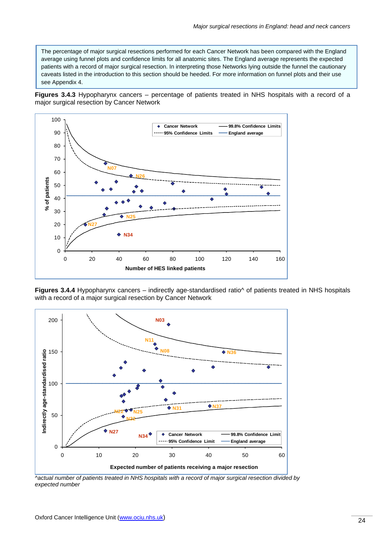The percentage of major surgical resections performed for each Cancer Network has been compared with the England average using funnel plots and confidence limits for all anatomic sites. The England average represents the expected patients with a record of major surgical resection. In interpreting those Networks lying outside the funnel the cautionary caveats listed in the introduction to this section should be heeded. For more information on funnel plots and their use see Appendix 4.

**Figures 3.4.3** Hypopharynx cancers – percentage of patients treated in NHS hospitals with a record of a major surgical resection by Cancer Network

![](_page_26_Figure_3.jpeg)

**Figures 3.4.4** Hypopharynx cancers – indirectly age-standardised ratio^ of patients treated in NHS hospitals with a record of a major surgical resection by Cancer Network

![](_page_26_Figure_5.jpeg)

*^actual number of patients treated in NHS hospitals with a record of major surgical resection divided by expected number*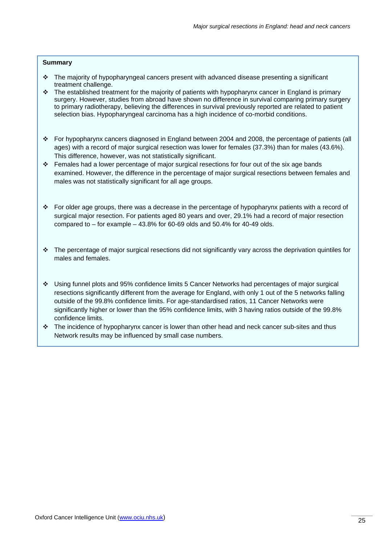#### **Summary**

- The majority of hypopharyngeal cancers present with advanced disease presenting a significant treatment challenge.
- $\cdot \cdot$  The established treatment for the majority of patients with hypopharynx cancer in England is primary surgery. However, studies from abroad have shown no difference in survival comparing primary surgery to primary radiotherapy, believing the differences in survival previously reported are related to patient selection bias. Hypopharyngeal carcinoma has a high incidence of co-morbid conditions.
- For hypopharynx cancers diagnosed in England between 2004 and 2008, the percentage of patients (all ages) with a record of major surgical resection was lower for females (37.3%) than for males (43.6%). This difference, however, was not statistically significant.
- Females had a lower percentage of major surgical resections for four out of the six age bands examined. However, the difference in the percentage of major surgical resections between females and males was not statistically significant for all age groups.
- For older age groups, there was a decrease in the percentage of hypopharynx patients with a record of surgical major resection. For patients aged 80 years and over, 29.1% had a record of major resection compared to  $-$  for example  $-$  43.8% for 60-69 olds and 50.4% for 40-49 olds.
- The percentage of major surgical resections did not significantly vary across the deprivation quintiles for males and females.
- Using funnel plots and 95% confidence limits 5 Cancer Networks had percentages of major surgical resections significantly different from the average for England, with only 1 out of the 5 networks falling outside of the 99.8% confidence limits. For age-standardised ratios, 11 Cancer Networks were significantly higher or lower than the 95% confidence limits, with 3 having ratios outside of the 99.8% confidence limits.
- $\cdot \cdot$  The incidence of hypopharynx cancer is lower than other head and neck cancer sub-sites and thus Network results may be influenced by small case numbers.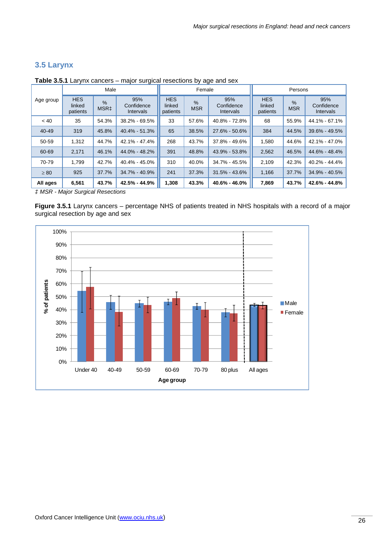## **3.5 Larynx**

| Male      |                                                                              |       |                                |                                  | Female                      |                                | Persons                          |                             |                                |  |
|-----------|------------------------------------------------------------------------------|-------|--------------------------------|----------------------------------|-----------------------------|--------------------------------|----------------------------------|-----------------------------|--------------------------------|--|
| Age group | <b>HES</b><br>95%<br>$\frac{9}{6}$<br>linked<br>MSR <sub>‡</sub><br>patients |       | Confidence<br><b>Intervals</b> | <b>HES</b><br>linked<br>patients | $\frac{9}{6}$<br><b>MSR</b> | 95%<br>Confidence<br>Intervals | <b>HES</b><br>linked<br>patients | $\frac{0}{0}$<br><b>MSR</b> | 95%<br>Confidence<br>Intervals |  |
| ~< 40     | 35                                                                           | 54.3% | $38.2\% - 69.5\%$              | 33                               | 57.6%                       | 40.8% - 72.8%                  | 68                               | 55.9%                       | 44.1% - 67.1%                  |  |
| $40 - 49$ | 319                                                                          | 45.8% | $40.4\% - 51.3\%$              | 65                               | 38.5%                       | 27.6% - 50.6%                  | 384                              | 44.5%                       | $39.6\% - 49.5\%$              |  |
| 50-59     | 1.312                                                                        | 44.7% | 42.1% - 47.4%                  | 268                              | 43.7%                       | 37.8% - 49.6%                  | 1,580                            | 44.6%                       | 42.1% - 47.0%                  |  |
| 60-69     | 2,171                                                                        | 46.1% | 44.0% - 48.2%                  | 391                              | 48.8%                       | 43.9% - 53.8%                  | 2,562                            | 46.5%                       | 44.6% - 48.4%                  |  |
| 70-79     | 1.799                                                                        | 42.7% | 40.4% - 45.0%                  | 310                              | 40.0%                       | $34.7\% - 45.5\%$              | 2.109                            | 42.3%                       | 40.2% - 44.4%                  |  |
| $\geq 80$ | 925                                                                          | 37.7% | 34.7% - 40.9%                  | 241                              | 37.3%                       | $31.5\% - 43.6\%$              | 1,166                            | 37.7%                       | $34.9\% - 40.5\%$              |  |
| All ages  | 6,561                                                                        | 43.7% | 42.5% - 44.9%                  | 1,308                            | 43.3%                       | 40.6% - 46.0%                  | 7,869                            | 43.7%                       | 42.6% - 44.8%                  |  |

**Table 3.5.1** Larynx cancers – major surgical resections by age and sex

*‡ MSR - Major Surgical Resections*

**Figure 3.5.1** Larynx cancers – percentage NHS of patients treated in NHS hospitals with a record of a major surgical resection by age and sex

![](_page_28_Figure_6.jpeg)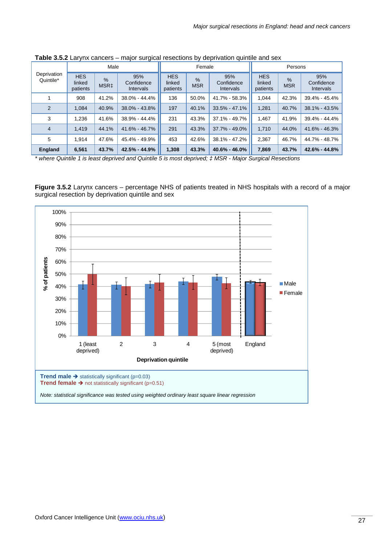|                          |                                                                                                         | Male  |                                  |                             | Female                         |                                  | Persons                     |                                       |                   |  |
|--------------------------|---------------------------------------------------------------------------------------------------------|-------|----------------------------------|-----------------------------|--------------------------------|----------------------------------|-----------------------------|---------------------------------------|-------------------|--|
| Deprivation<br>Quintile* | <b>HES</b><br>95%<br>$\frac{9}{6}$<br>Confidence<br>linked<br>MSR <sub>‡</sub><br>patients<br>Intervals |       | <b>HES</b><br>linked<br>patients | $\frac{9}{6}$<br><b>MSR</b> | 95%<br>Confidence<br>Intervals | <b>HES</b><br>linked<br>patients | $\frac{9}{6}$<br><b>MSR</b> | 95%<br>Confidence<br><b>Intervals</b> |                   |  |
|                          | 908                                                                                                     | 41.2% | 38.0% - 44.4%                    | 136                         | 50.0%                          | 41.7% - 58.3%                    | 1.044                       | 42.3%                                 | 39.4% - 45.4%     |  |
| $\overline{2}$           | 1.084                                                                                                   | 40.9% | 38.0% - 43.8%                    | 197                         | 40.1%                          | $33.5\% - 47.1\%$                | 1,281                       | 40.7%                                 | $38.1\% - 43.5\%$ |  |
| 3                        | 1.236                                                                                                   | 41.6% | 38.9% - 44.4%                    | 231                         | 43.3%                          | 37.1% - 49.7%                    | 1.467                       | 41.9%                                 | 39.4% - 44.4%     |  |
| $\overline{4}$           | 1.419                                                                                                   | 44.1% | 41.6% - 46.7%                    | 291                         | 43.3%                          | 37.7% - 49.0%                    | 1,710                       | 44.0%                                 | 41.6% - 46.3%     |  |
| 5                        | 1.914                                                                                                   | 47.6% | 45.4% - 49.9%                    | 453                         | 42.6%                          | 38.1% - 47.2%                    | 2,367                       | 46.7%                                 | 44.7% - 48.7%     |  |
| <b>England</b>           | 6,561                                                                                                   | 43.7% | 42.5% - 44.9%                    | 1,308                       | 43.3%                          | $40.6\% - 46.0\%$                | 7,869                       | 43.7%                                 | 42.6% - 44.8%     |  |

**Table 3.5.2** Larynx cancers – major surgical resections by deprivation quintile and sex

*\* where Quintile 1 is least deprived and Quintile 5 is most deprived; ‡ MSR - Major Surgical Resections* 

**Figure 3.5.2** Larynx cancers – percentage NHS of patients treated in NHS hospitals with a record of a major surgical resection by deprivation quintile and sex

![](_page_29_Figure_5.jpeg)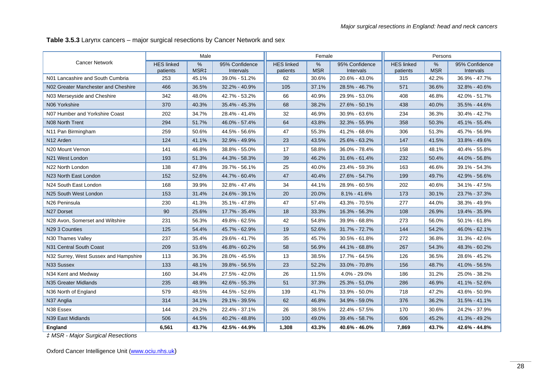**Table 3.5.3** Larynx cancers – major surgical resections by Cancer Network and sex

|                                       |                               | Male                     |                             |                               | Female          |                             |                               | Persons            |                             |
|---------------------------------------|-------------------------------|--------------------------|-----------------------------|-------------------------------|-----------------|-----------------------------|-------------------------------|--------------------|-----------------------------|
| <b>Cancer Network</b>                 | <b>HES linked</b><br>patients | $\%$<br>MSR <sub>‡</sub> | 95% Confidence<br>Intervals | <b>HES linked</b><br>patients | %<br><b>MSR</b> | 95% Confidence<br>Intervals | <b>HES linked</b><br>patients | $\%$<br><b>MSR</b> | 95% Confidence<br>Intervals |
| N01 Lancashire and South Cumbria      | 253                           | 45.1%                    | 39.0% - 51.2%               | 62                            | 30.6%           | 20.6% - 43.0%               | 315                           | 42.2%              | 36.9% - 47.7%               |
| N02 Greater Manchester and Cheshire   | 466                           | 36.5%                    | 32.2% - 40.9%               | 105                           | 37.1%           | 28.5% - 46.7%               | 571                           | 36.6%              | 32.8% - 40.6%               |
| N03 Merseyside and Cheshire           | 342                           | 48.0%                    | 42.7% - 53.2%               | 66                            | 40.9%           | 29.9% - 53.0%               | 408                           | 46.8%              | 42.0% - 51.7%               |
| N06 Yorkshire                         | 370                           | 40.3%                    | 35.4% - 45.3%               | 68                            | 38.2%           | 27.6% - 50.1%               | 438                           | 40.0%              | 35.5% - 44.6%               |
| N07 Humber and Yorkshire Coast        | 202                           | 34.7%                    | 28.4% - 41.4%               | 32                            | 46.9%           | 30.9% - 63.6%               | 234                           | 36.3%              | 30.4% - 42.7%               |
| N08 North Trent                       | 294                           | 51.7%                    | 46.0% - 57.4%               | 64                            | 43.8%           | 32.3% - 55.9%               | 358                           | 50.3%              | 45.1% - 55.4%               |
| N11 Pan Birmingham                    | 259                           | 50.6%                    | 44.5% - 56.6%               | 47                            | 55.3%           | 41.2% - 68.6%               | 306                           | 51.3%              | 45.7% - 56.9%               |
| N <sub>12</sub> Arden                 | 124                           | 41.1%                    | 32.9% - 49.9%               | 23                            | 43.5%           | 25.6% - 63.2%               | 147                           | 41.5%              | 33.8% - 49.6%               |
| N20 Mount Vernon                      | 141                           | 46.8%                    | 38.8% - 55.0%               | 17                            | 58.8%           | 36.0% - 78.4%               | 158                           | 48.1%              | 40.4% - 55.8%               |
| N <sub>21</sub> West London           | 193                           | 51.3%                    | 44.3% - 58.3%               | 39                            | 46.2%           | 31.6% - 61.4%               | 232                           | 50.4%              | 44.0% - 56.8%               |
| N22 North London                      | 138                           | 47.8%                    | 39.7% - 56.1%               | 25                            | 40.0%           | 23.4% - 59.3%               | 163                           | 46.6%              | 39.1% - 54.3%               |
| N23 North East London                 | 152                           | 52.6%                    | 44.7% - 60.4%               | 47                            | 40.4%           | 27.6% - 54.7%               | 199                           | 49.7%              | 42.9% - 56.6%               |
| N24 South East London                 | 168                           | 39.9%                    | 32.8% - 47.4%               | 34                            | 44.1%           | 28.9% - 60.5%               | 202                           | 40.6%              | 34.1% - 47.5%               |
| N25 South West London                 | 153                           | 31.4%                    | 24.6% - 39.1%               | 20                            | 20.0%           | $8.1\% - 41.6\%$            | 173                           | 30.1%              | 23.7% - 37.3%               |
| N26 Peninsula                         | 230                           | 41.3%                    | 35.1% - 47.8%               | 47                            | 57.4%           | 43.3% - 70.5%               | 277                           | 44.0%              | 38.3% - 49.9%               |
| N27 Dorset                            | 90                            | 25.6%                    | 17.7% - 35.4%               | 18                            | 33.3%           | 16.3% - 56.3%               | 108                           | 26.9%              | 19.4% - 35.9%               |
| N28 Avon, Somerset and Wiltshire      | 231                           | 56.3%                    | 49.8% - 62.5%               | 42                            | 54.8%           | 39.9% - 68.8%               | 273                           | 56.0%              | 50.1% - 61.8%               |
| N29 3 Counties                        | 125                           | 54.4%                    | 45.7% - 62.9%               | 19                            | 52.6%           | 31.7% - 72.7%               | 144                           | 54.2%              | 46.0% - 62.1%               |
| N30 Thames Valley                     | 237                           | 35.4%                    | 29.6% - 41.7%               | 35                            | 45.7%           | 30.5% - 61.8%               | 272                           | 36.8%              | 31.3% - 42.6%               |
| N31 Central South Coast               | 209                           | 53.6%                    | 46.8% - 60.2%               | 58                            | 56.9%           | 44.1% - 68.8%               | 267                           | 54.3%              | 48.3% - 60.2%               |
| N32 Surrey, West Sussex and Hampshire | 113                           | 36.3%                    | 28.0% - 45.5%               | 13                            | 38.5%           | 17.7% - 64.5%               | 126                           | 36.5%              | 28.6% - 45.2%               |
| N33 Sussex                            | 133                           | 48.1%                    | 39.8% - 56.5%               | 23                            | 52.2%           | 33.0% - 70.8%               | 156                           | 48.7%              | 41.0% - 56.5%               |
| N34 Kent and Medway                   | 160                           | 34.4%                    | 27.5% - 42.0%               | 26                            | 11.5%           | 4.0% - 29.0%                | 186                           | 31.2%              | 25.0% - 38.2%               |
| N35 Greater Midlands                  | 235                           | 48.9%                    | 42.6% - 55.3%               | 51                            | 37.3%           | 25.3% - 51.0%               | 286                           | 46.9%              | 41.1% - 52.6%               |
| N36 North of England                  | 579                           | 48.5%                    | 44.5% - 52.6%               | 139                           | 41.7%           | 33.9% - 50.0%               | 718                           | 47.2%              | 43.6% - 50.9%               |
| N37 Anglia                            | 314                           | 34.1%                    | 29.1% - 39.5%               | 62                            | 46.8%           | 34.9% - 59.0%               | 376                           | 36.2%              | 31.5% - 41.1%               |
| N38 Essex                             | 144                           | 29.2%                    | 22.4% - 37.1%               | 26                            | 38.5%           | 22.4% - 57.5%               | 170                           | 30.6%              | 24.2% - 37.9%               |
| N39 East Midlands                     | 506                           | 44.5%                    | 40.2% - 48.8%               | 100                           | 49.0%           | 39.4% - 58.7%               | 606                           | 45.2%              | 41.3% - 49.2%               |
| England                               | 6,561                         | 43.7%                    | 42.5% - 44.9%               | 1,308                         | 43.3%           | 40.6% - 46.0%               | 7,869                         | 43.7%              | 42.6% - 44.8%               |

*‡ MSR - Major Surgical Resections*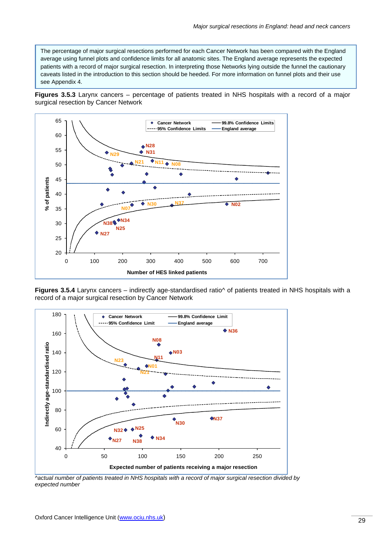The percentage of major surgical resections performed for each Cancer Network has been compared with the England average using funnel plots and confidence limits for all anatomic sites. The England average represents the expected patients with a record of major surgical resection. In interpreting those Networks lying outside the funnel the cautionary caveats listed in the introduction to this section should be heeded. For more information on funnel plots and their use see Appendix 4.

**Figures 3.5.3** Larynx cancers – percentage of patients treated in NHS hospitals with a record of a major surgical resection by Cancer Network

![](_page_31_Figure_3.jpeg)

**Figures 3.5.4** Larynx cancers – indirectly age-standardised ratio<sup> $\land$ </sup> of patients treated in NHS hospitals with a record of a major surgical resection by Cancer Network

![](_page_31_Figure_5.jpeg)

*^actual number of patients treated in NHS hospitals with a record of major surgical resection divided by expected number*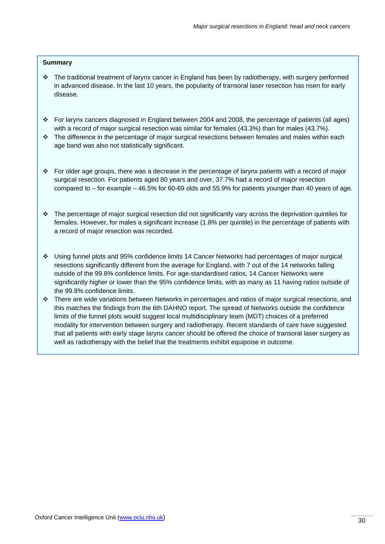#### **Summary**

- The traditional treatment of larynx cancer in England has been by radiotherapy, with surgery performed in advanced disease. In the last 10 years, the popularity of transoral laser resection has risen for early disease.
- For larynx cancers diagnosed in England between 2004 and 2008, the percentage of patients (all ages) with a record of major surgical resection was similar for females (43.3%) than for males (43.7%).
- \* The difference in the percentage of major surgical resections between females and males within each age band was also not statistically significant.
- For older age groups, there was a decrease in the percentage of larynx patients with a record of major surgical resection. For patients aged 80 years and over, 37.7% had a record of major resection compared to – for example – 46.5% for 60-69 olds and 55.9% for patients younger than 40 years of age.
- $\cdot \cdot$  The percentage of major surgical resection did not significantly vary across the deprivation quintiles for females. However, for males a significant increase (1.8% per quintile) in the percentage of patients with a record of major resection was recorded.
- Using funnel plots and 95% confidence limits 14 Cancer Networks had percentages of major surgical resections significantly different from the average for England, with 7 out of the 14 networks falling outside of the 99.8% confidence limits. For age-standardised ratios, 14 Cancer Networks were significantly higher or lower than the 95% confidence limits, with as many as 11 having ratios outside of the 99.8% confidence limits.
- There are wide variations between Networks in percentages and ratios of major surgical resections, and this matches the findings from the 6th DAHNO report. The spread of Networks outside the confidence limits of the funnel plots would suggest local multidisciplinary team (MDT) choices of a preferred modality for intervention between surgery and radiotherapy. Recent standards of care have suggested that all patients with early stage larynx cancer should be offered the choice of transoral laser surgery as well as radiotherapy with the belief that the treatments exhibit equipoise in outcome.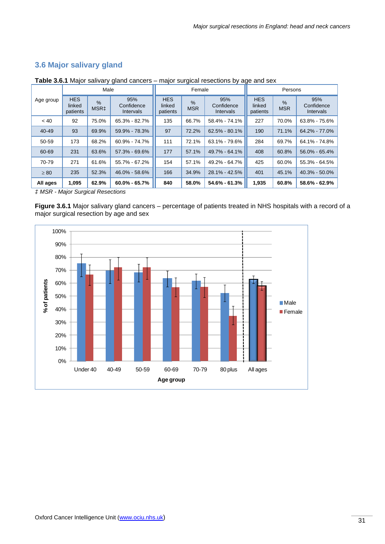## **3.6 Major salivary gland**

| Male      |                                                                                                |       |                                  | Female             |                                | Persons                          |                             |                                |                   |
|-----------|------------------------------------------------------------------------------------------------|-------|----------------------------------|--------------------|--------------------------------|----------------------------------|-----------------------------|--------------------------------|-------------------|
| Age group | <b>HES</b><br>95%<br>$\%$<br>linked<br>Confidence<br>MSR <sub>‡</sub><br>patients<br>Intervals |       | <b>HES</b><br>linked<br>patients | $\%$<br><b>MSR</b> | 95%<br>Confidence<br>Intervals | <b>HES</b><br>linked<br>patients | $\frac{0}{0}$<br><b>MSR</b> | 95%<br>Confidence<br>Intervals |                   |
| ~< 40     | 92                                                                                             | 75.0% | 65.3% - 82.7%                    | 135                | 66.7%                          | 58.4% - 74.1%                    | 227                         | 70.0%                          | 63.8% - 75.6%     |
| 40-49     | 93                                                                                             | 69.9% | 59.9% - 78.3%                    | 97                 | 72.2%                          | $62.5\% - 80.1\%$                | 190                         | 71.1%                          | 64.2% - 77.0%     |
| 50-59     | 173                                                                                            | 68.2% | 60.9% - 74.7%                    | 111                | 72.1%                          | 63.1% - 79.6%                    | 284                         | 69.7%                          | 64.1% - 74.8%     |
| 60-69     | 231                                                                                            | 63.6% | 57.3% - 69.6%                    | 177                | 57.1%                          | 49.7% - 64.1%                    | 408                         | 60.8%                          | 56.0% - 65.4%     |
| 70-79     | 271                                                                                            | 61.6% | 55.7% - 67.2%                    | 154                | 57.1%                          | 49.2% - 64.7%                    | 425                         | 60.0%                          | $55.3\% - 64.5\%$ |
| $\geq 80$ | 235                                                                                            | 52.3% | 46.0% - 58.6%                    | 166                | 34.9%                          | $28.1\% - 42.5\%$                | 401                         | 45.1%                          | $40.3\% - 50.0\%$ |
| All ages  | 1,095                                                                                          | 62.9% | $60.0\% - 65.7\%$                | 840                | 58.0%                          | $54.6\% - 61.3\%$                | 1,935                       | 60.8%                          | 58.6% - 62.9%     |

**Table 3.6.1** Major salivary gland cancers – major surgical resections by age and sex

*‡ MSR - Major Surgical Resections*

**Figure 3.6.1** Major salivary gland cancers – percentage of patients treated in NHS hospitals with a record of a major surgical resection by age and sex

![](_page_33_Figure_6.jpeg)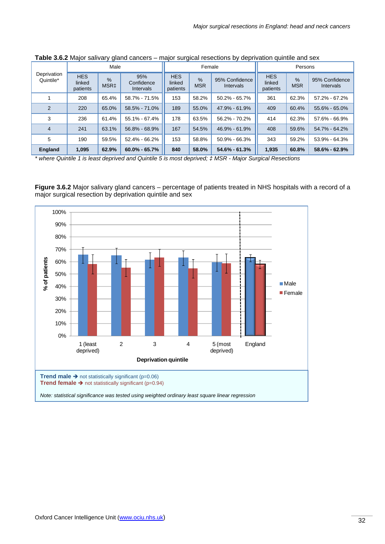|                          |                                  | Male                              |                                       |                                  | Female             |                             | Persons                          |                             |                                    |  |
|--------------------------|----------------------------------|-----------------------------------|---------------------------------------|----------------------------------|--------------------|-----------------------------|----------------------------------|-----------------------------|------------------------------------|--|
| Deprivation<br>Quintile* | <b>HES</b><br>linked<br>patients | $\frac{9}{6}$<br>MSR <sub>‡</sub> | 95%<br>Confidence<br><b>Intervals</b> | <b>HES</b><br>linked<br>patients | $\%$<br><b>MSR</b> | 95% Confidence<br>Intervals | <b>HES</b><br>linked<br>patients | $\frac{9}{6}$<br><b>MSR</b> | 95% Confidence<br><b>Intervals</b> |  |
|                          | 208                              | 65.4%                             | 58.7% - 71.5%                         | 153                              | 58.2%              | $50.2\% - 65.7\%$           | 361                              | 62.3%                       | 57.2% - 67.2%                      |  |
| $\mathcal{P}$            | 220                              | 65.0%                             | 58.5% - 71.0%                         | 189                              | 55.0%              | 47.9% - 61.9%               | 409                              | 60.4%                       | 55.6% - 65.0%                      |  |
| 3                        | 236                              | 61.4%                             | 55.1% - 67.4%                         | 178                              | 63.5%              | 56.2% - 70.2%               | 414                              | 62.3%                       | 57.6% - 66.9%                      |  |
| 4                        | 241                              | 63.1%                             | 56.8% - 68.9%                         | 167                              | 54.5%              | 46.9% - 61.9%               | 408                              | 59.6%                       | 54.7% - 64.2%                      |  |
| 5                        | 190                              | 59.5%                             | 52.4% - 66.2%                         | 153                              | 58.8%              | $50.9\% - 66.3\%$           | 343                              | 59.2%                       | 53.9% - 64.3%                      |  |
| <b>England</b>           | 1,095                            | 62.9%                             | $60.0\% - 65.7\%$                     | 840                              | 58.0%              | $54.6\% - 61.3\%$           | 1,935                            | 60.8%                       | $58.6\% - 62.9\%$                  |  |

**Table 3.6.2** Major salivary gland cancers – major surgical resections by deprivation quintile and sex

*\* where Quintile 1 is least deprived and Quintile 5 is most deprived; ‡ MSR - Major Surgical Resections* 

**Figure 3.6.2** Major salivary gland cancers – percentage of patients treated in NHS hospitals with a record of a major surgical resection by deprivation quintile and sex

![](_page_34_Figure_5.jpeg)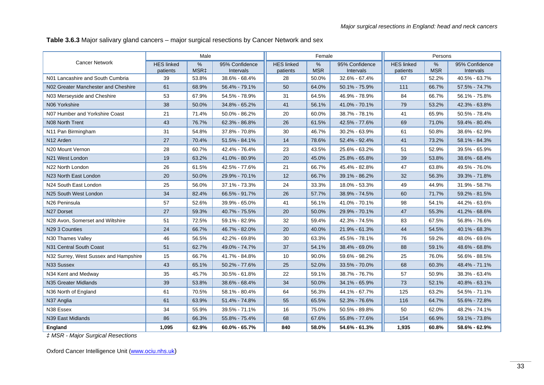**Table 3.6.3** Major salivary gland cancers – major surgical resections by Cancer Network and sex

|                                       |                               | Male         |                             |                               | Female          |                             |                               | Persons            |                             |
|---------------------------------------|-------------------------------|--------------|-----------------------------|-------------------------------|-----------------|-----------------------------|-------------------------------|--------------------|-----------------------------|
| <b>Cancer Network</b>                 | <b>HES</b> linked<br>patients | $\%$<br>MSR‡ | 95% Confidence<br>Intervals | <b>HES linked</b><br>patients | %<br><b>MSR</b> | 95% Confidence<br>Intervals | <b>HES linked</b><br>patients | $\%$<br><b>MSR</b> | 95% Confidence<br>Intervals |
| N01 Lancashire and South Cumbria      | 39                            | 53.8%        | 38.6% - 68.4%               | 28                            | 50.0%           | 32.6% - 67.4%               | 67                            | 52.2%              | 40.5% - 63.7%               |
| N02 Greater Manchester and Cheshire   | 61                            | 68.9%        | 56.4% - 79.1%               | 50                            | 64.0%           | 50.1% - 75.9%               | 111                           | 66.7%              | 57.5% - 74.7%               |
| N03 Merseyside and Cheshire           | 53                            | 67.9%        | 54.5% - 78.9%               | 31                            | 64.5%           | 46.9% - 78.9%               | 84                            | 66.7%              | 56.1% - 75.8%               |
| N06 Yorkshire                         | 38                            | 50.0%        | 34.8% - 65.2%               | 41                            | 56.1%           | 41.0% - 70.1%               | 79                            | 53.2%              | 42.3% - 63.8%               |
| N07 Humber and Yorkshire Coast        | 21                            | 71.4%        | 50.0% - 86.2%               | 20                            | 60.0%           | 38.7% - 78.1%               | 41                            | 65.9%              | 50.5% - 78.4%               |
| N08 North Trent                       | 43                            | 76.7%        | 62.3% - 86.8%               | 26                            | 61.5%           | 42.5% - 77.6%               | 69                            | 71.0%              | 59.4% - 80.4%               |
| N11 Pan Birmingham                    | 31                            | 54.8%        | 37.8% - 70.8%               | 30                            | 46.7%           | 30.2% - 63.9%               | 61                            | 50.8%              | 38.6% - 62.9%               |
| N12 Arden                             | 27                            | 70.4%        | 51.5% - 84.1%               | 14                            | 78.6%           | 52.4% - 92.4%               | 41                            | 73.2%              | 58.1% - 84.3%               |
| N20 Mount Vernon                      | 28                            | 60.7%        | 42.4% - 76.4%               | 23                            | 43.5%           | 25.6% - 63.2%               | 51                            | 52.9%              | 39.5% - 65.9%               |
| N21 West London                       | 19                            | 63.2%        | 41.0% - 80.9%               | 20                            | 45.0%           | 25.8% - 65.8%               | 39                            | 53.8%              | 38.6% - 68.4%               |
| N22 North London                      | 26                            | 61.5%        | 42.5% - 77.6%               | 21                            | 66.7%           | 45.4% - 82.8%               | 47                            | 63.8%              | 49.5% - 76.0%               |
| N23 North East London                 | 20                            | 50.0%        | 29.9% - 70.1%               | 12                            | 66.7%           | 39.1% - 86.2%               | 32                            | 56.3%              | 39.3% - 71.8%               |
| N24 South East London                 | 25                            | 56.0%        | 37.1% - 73.3%               | 24                            | 33.3%           | 18.0% - 53.3%               | 49                            | 44.9%              | 31.9% - 58.7%               |
| N25 South West London                 | 34                            | 82.4%        | 66.5% - 91.7%               | 26                            | 57.7%           | 38.9% - 74.5%               | 60                            | 71.7%              | 59.2% - 81.5%               |
| N26 Peninsula                         | 57                            | 52.6%        | 39.9% - 65.0%               | 41                            | 56.1%           | 41.0% - 70.1%               | 98                            | 54.1%              | 44.2% - 63.6%               |
| N27 Dorset                            | 27                            | 59.3%        | 40.7% - 75.5%               | 20                            | 50.0%           | 29.9% - 70.1%               | 47                            | 55.3%              | 41.2% - 68.6%               |
| N28 Avon, Somerset and Wiltshire      | 51                            | 72.5%        | 59.1% - 82.9%               | 32                            | 59.4%           | 42.3% - 74.5%               | 83                            | 67.5%              | 56.8% - 76.6%               |
| N29 3 Counties                        | 24                            | 66.7%        | 46.7% - 82.0%               | 20                            | 40.0%           | 21.9% - 61.3%               | 44                            | 54.5%              | 40.1% - 68.3%               |
| N <sub>30</sub> Thames Valley         | 46                            | 56.5%        | 42.2% - 69.8%               | 30                            | 63.3%           | 45.5% - 78.1%               | 76                            | 59.2%              | 48.0% - 69.6%               |
| N31 Central South Coast               | 51                            | 62.7%        | 49.0% - 74.7%               | 37                            | 54.1%           | 38.4% - 69.0%               | 88                            | 59.1%              | 48.6% - 68.8%               |
| N32 Surrey, West Sussex and Hampshire | 15                            | 66.7%        | 41.7% - 84.8%               | 10                            | 90.0%           | 59.6% - 98.2%               | 25                            | 76.0%              | 56.6% - 88.5%               |
| N33 Sussex                            | 43                            | 65.1%        | 50.2% - 77.6%               | 25                            | 52.0%           | 33.5% - 70.0%               | 68                            | 60.3%              | 48.4% - 71.1%               |
| N34 Kent and Medway                   | 35                            | 45.7%        | 30.5% - 61.8%               | 22                            | 59.1%           | 38.7% - 76.7%               | 57                            | 50.9%              | 38.3% - 63.4%               |
| N35 Greater Midlands                  | 39                            | 53.8%        | 38.6% - 68.4%               | 34                            | 50.0%           | 34.1% - 65.9%               | 73                            | 52.1%              | 40.8% - 63.1%               |
| N36 North of England                  | 61                            | 70.5%        | 58.1% - 80.4%               | 64                            | 56.3%           | 44.1% - 67.7%               | 125                           | 63.2%              | 54.5% - 71.1%               |
| N37 Anglia                            | 61                            | 63.9%        | 51.4% - 74.8%               | 55                            | 65.5%           | 52.3% - 76.6%               | 116                           | 64.7%              | 55.6% - 72.8%               |
| N38 Essex                             | 34                            | 55.9%        | 39.5% - 71.1%               | 16                            | 75.0%           | 50.5% - 89.8%               | 50                            | 62.0%              | 48.2% - 74.1%               |
| N39 East Midlands                     | 86                            | 66.3%        | 55.8% - 75.4%               | 68                            | 67.6%           | 55.8% - 77.6%               | 154                           | 66.9%              | 59.1% - 73.8%               |
| England                               | 1,095                         | 62.9%        | $60.0\% - 65.7\%$           | 840                           | 58.0%           | 54.6% - 61.3%               | 1,935                         | 60.8%              | 58.6% - 62.9%               |

*‡ MSR - Major Surgical Resections*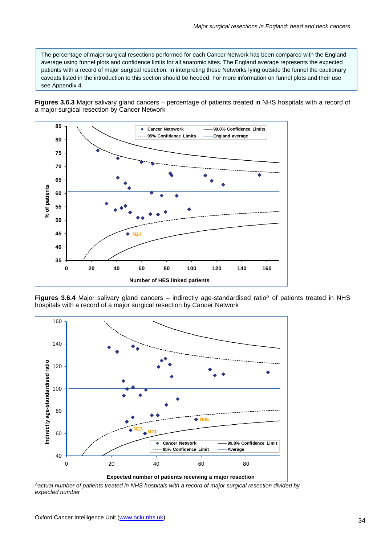The percentage of major surgical resections performed for each Cancer Network has been compared with the England average using funnel plots and confidence limits for all anatomic sites. The England average represents the expected patients with a record of major surgical resection. In interpreting those Networks lying outside the funnel the cautionary caveats listed in the introduction to this section should be heeded. For more information on funnel plots and their use see Appendix 4.

**Figures 3.6.3** Major salivary gland cancers – percentage of patients treated in NHS hospitals with a record of a major surgical resection by Cancer Network

![](_page_36_Figure_3.jpeg)

![](_page_36_Figure_4.jpeg)

![](_page_36_Figure_5.jpeg)

*^actual number of patients treated in NHS hospitals with a record of major surgical resection divided by expected number*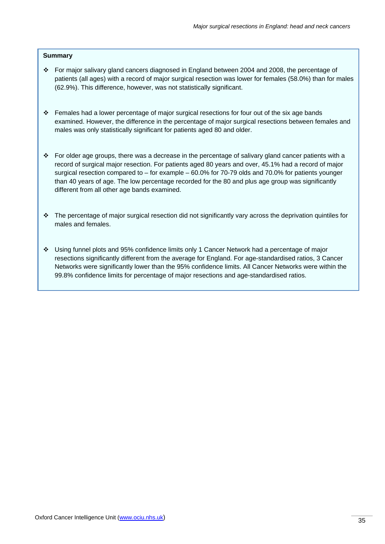#### **Summary**

- For major salivary gland cancers diagnosed in England between 2004 and 2008, the percentage of patients (all ages) with a record of major surgical resection was lower for females (58.0%) than for males (62.9%). This difference, however, was not statistically significant.
- Females had a lower percentage of major surgical resections for four out of the six age bands examined. However, the difference in the percentage of major surgical resections between females and males was only statistically significant for patients aged 80 and older.
- For older age groups, there was a decrease in the percentage of salivary gland cancer patients with a record of surgical major resection. For patients aged 80 years and over, 45.1% had a record of major surgical resection compared to – for example – 60.0% for 70-79 olds and 70.0% for patients younger than 40 years of age. The low percentage recorded for the 80 and plus age group was significantly different from all other age bands examined.
- The percentage of major surgical resection did not significantly vary across the deprivation quintiles for males and females.
- Using funnel plots and 95% confidence limits only 1 Cancer Network had a percentage of major resections significantly different from the average for England. For age-standardised ratios, 3 Cancer Networks were significantly lower than the 95% confidence limits. All Cancer Networks were within the 99.8% confidence limits for percentage of major resections and age-standardised ratios.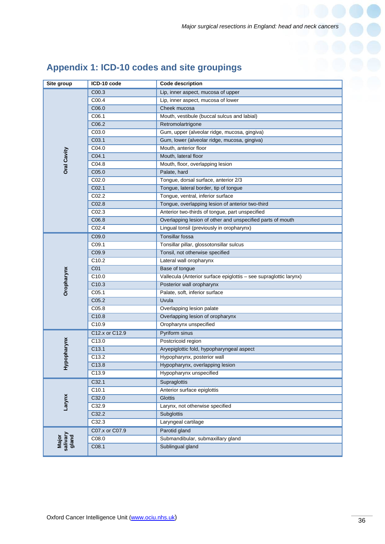|  |  |  |  | Appendix 1: ICD-10 codes and site groupings |
|--|--|--|--|---------------------------------------------|
|--|--|--|--|---------------------------------------------|

| Site group                 | ICD-10 code       | <b>Code description</b>                                           |  |  |  |
|----------------------------|-------------------|-------------------------------------------------------------------|--|--|--|
|                            | C00.3             | Lip, inner aspect, mucosa of upper                                |  |  |  |
|                            | C00.4             | Lip, inner aspect, mucosa of lower                                |  |  |  |
|                            | C06.0             | Cheek mucosa                                                      |  |  |  |
|                            | C06.1             | Mouth, vestibule (buccal sulcus and labial)                       |  |  |  |
|                            | C06.2             | Retromolartrigone                                                 |  |  |  |
| Oral Cavity                | C03.0             | Gum, upper (alveolar ridge, mucosa, gingiva)                      |  |  |  |
|                            | C03.1             | Gum, lower (alveolar ridge, mucosa, gingiva)                      |  |  |  |
|                            | C04.0             | Mouth, anterior floor                                             |  |  |  |
|                            | C04.1             | Mouth, lateral floor                                              |  |  |  |
|                            | C04.8             | Mouth, floor, overlapping lesion                                  |  |  |  |
|                            | C05.0             | Palate, hard                                                      |  |  |  |
|                            | CO <sub>2.0</sub> | Tongue, dorsal surface, anterior 2/3                              |  |  |  |
|                            | CO <sub>2.1</sub> | Tongue, lateral border, tip of tongue                             |  |  |  |
|                            | C02.2             | Tongue, ventral, inferior surface                                 |  |  |  |
|                            | C02.8             | Tongue, overlapping lesion of anterior two-third                  |  |  |  |
|                            | CO <sub>2.3</sub> | Anterior two-thirds of tongue, part unspecified                   |  |  |  |
|                            | C06.8             | Overlapping lesion of other and unspecified parts of mouth        |  |  |  |
|                            | C02.4             | Lingual tonsil (previously in oropharynx)                         |  |  |  |
|                            | C09.0             | Tonsillar fossa                                                   |  |  |  |
|                            | C09.1             | Tonsillar pillar, glossotonsillar sulcus                          |  |  |  |
|                            | C09.9             | Tonsil, not otherwise specified                                   |  |  |  |
|                            | C <sub>10.2</sub> | Lateral wall oropharynx                                           |  |  |  |
|                            | CO <sub>1</sub>   | Base of tongue                                                    |  |  |  |
| Oropharynx                 | C10.0             | Vallecula (Anterior surface epiglottis - see supraglottic larynx) |  |  |  |
|                            | C <sub>10.3</sub> | Posterior wall oropharynx                                         |  |  |  |
|                            | C <sub>05.1</sub> | Palate, soft, inferior surface                                    |  |  |  |
|                            | C05.2             | Uvula                                                             |  |  |  |
|                            | C05.8             | Overlapping lesion palate                                         |  |  |  |
|                            | C10.8             | Overlapping lesion of oropharynx                                  |  |  |  |
|                            | C <sub>10.9</sub> | Oropharynx unspecified                                            |  |  |  |
|                            | C12.x or C12.9    | Pyriform sinus                                                    |  |  |  |
|                            | C13.0             | Postcricoid region                                                |  |  |  |
| Hypopharynx                | C13.1             | Aryepiglottic fold, hypopharyngeal aspect                         |  |  |  |
|                            | C13.2             | Hypopharynx, posterior wall                                       |  |  |  |
|                            | C <sub>13.8</sub> | Hypopharynx, overlapping lesion                                   |  |  |  |
|                            | C13.9             | Hypopharynx unspecified                                           |  |  |  |
|                            | C32.1             | Supraglottis                                                      |  |  |  |
|                            | C <sub>10.1</sub> | Anterior surface epiglottis                                       |  |  |  |
| Larynx                     | C32.0             | <b>Glottis</b>                                                    |  |  |  |
|                            | C32.9             | Larynx, not otherwise specified                                   |  |  |  |
|                            | C32.2             | <b>Subglottis</b>                                                 |  |  |  |
|                            | C32.3             | Laryngeal cartilage                                               |  |  |  |
| Major<br>salivary<br>gland | C07.x or C07.9    | Parotid gland                                                     |  |  |  |
|                            | C08.0             | Submandibular, submaxillary gland                                 |  |  |  |
|                            | C08.1             | Sublingual gland                                                  |  |  |  |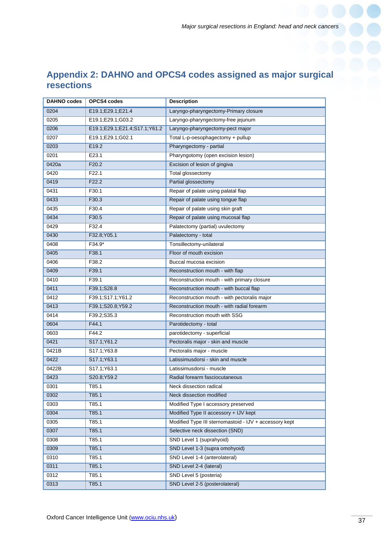# **Appendix 2: DAHNO and OPCS4 codes assigned as major surgical resections**

| <b>DAHNO codes</b> | OPCS4 codes                   | <b>Description</b>                                     |  |  |  |
|--------------------|-------------------------------|--------------------------------------------------------|--|--|--|
| 0204               | E19.1;E29.1;E21.4             | Laryngo-pharyngectomy-Primary closure                  |  |  |  |
| 0205               | E19.1;E29.1;G03.2             | Laryngo-pharyngectomy-free jejunum                     |  |  |  |
| 0206               | E19.1;E29.1;E21.4;S17.1;Y61.2 | Laryngo-pharyngectomy-pect major                       |  |  |  |
| 0207               | E19.1;E29.1;G02.1             | Total L-p-oesophagectomy + pullup                      |  |  |  |
| 0203               | E19.2                         | Pharyngectomy - partial                                |  |  |  |
| 0201               | E23.1                         | Pharyngotomy (open excision lesion)                    |  |  |  |
| 0420a              | F <sub>20.2</sub>             | Excision of lesion of gingiva                          |  |  |  |
| 0420               | F22.1                         | Total glossectomy                                      |  |  |  |
| 0419               | F22.2                         | Partial glossectomy                                    |  |  |  |
| 0431               | F30.1                         | Repair of palate using palatal flap                    |  |  |  |
| 0433               | F30.3                         | Repair of palate using tongue flap                     |  |  |  |
| 0435               | F30.4                         | Repair of palate using skin graft                      |  |  |  |
| 0434               | F30.5                         | Repair of palate using mucosal flap                    |  |  |  |
| 0429               | F32.4                         | Palatectomy (partial) uvulectomy                       |  |  |  |
| 0430               | F32.8;Y05.1                   | Palatectomy - total                                    |  |  |  |
| 0408               | F34.9*                        | Tonsillectomy-unilateral                               |  |  |  |
| 0405               | F38.1                         | Floor of mouth excision                                |  |  |  |
| 0406               | F38.2                         | Buccal mucosa excision                                 |  |  |  |
| 0409               | F39.1                         | Reconstruction mouth - with flap                       |  |  |  |
| 0410               | F39.1                         | Reconstruction mouth - with primary closure            |  |  |  |
| 0411               | F39.1;S28.8                   | Reconstruction mouth - with buccal flap                |  |  |  |
| 0412               | F39.1;S17.1;Y61.2             | Reconstruction mouth - with pectoralis major           |  |  |  |
| 0413               | F39.1;S20.8;Y59.2             | Reconstruction mouth - with radial forearm             |  |  |  |
| 0414               | F39.2;S35.3                   | Reconstruction mouth with SSG                          |  |  |  |
| 0604               | F44.1                         | Parotidectomy - total                                  |  |  |  |
| 0603               | F44.2                         | parotidectomy - superficial                            |  |  |  |
| 0421               | S17.1; Y61.2                  | Pectoralis major - skin and muscle                     |  |  |  |
| 0421B              | S17.1; Y63.8                  | Pectoralis major - muscle                              |  |  |  |
| 0422               | S17.1;Y63.1                   | Latissimusdorsi - skin and muscle                      |  |  |  |
| 0422B              | S17.1;Y63.1                   | Latissimusdorsi - muscle                               |  |  |  |
| 0423               | S20.8; Y59.2                  | Radial forearm fasciocutaneous                         |  |  |  |
| 0301               | T85.1                         | Neck dissection radical                                |  |  |  |
| 0302               | T85.1                         | Neck dissection modified                               |  |  |  |
| 0303               | T85.1                         | Modified Type I accessory preserved                    |  |  |  |
| 0304               | T85.1                         | Modified Type II accessory + IJV kept                  |  |  |  |
| 0305               | T85.1                         | Modified Type III sternomastoid - IJV + accessory kept |  |  |  |
| 0307               | T85.1                         | Selective neck dissection (SND)                        |  |  |  |
| 0308               | T85.1                         | SND Level 1 (suprahyoid)                               |  |  |  |
| 0309               | T85.1                         | SND Level 1-3 (supra omohyoid)                         |  |  |  |
| 0310               | T85.1                         | SND Level 1-4 (anterolateral)                          |  |  |  |
| 0311               | T85.1                         | SND Level 2-4 (lateral)                                |  |  |  |
| 0312               | T85.1                         | SND Level 5 (posteria)                                 |  |  |  |
| 0313               | T85.1                         | SND Level 2-5 (posterolateral)                         |  |  |  |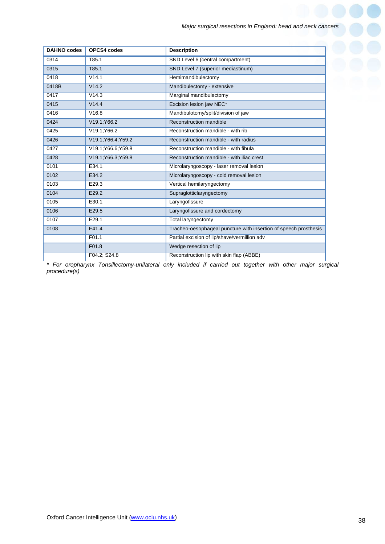| <b>DAHNO</b> codes | OPCS4 codes         | <b>Description</b>                                               |  |  |  |
|--------------------|---------------------|------------------------------------------------------------------|--|--|--|
| 0314               | T85.1               | SND Level 6 (central compartment)                                |  |  |  |
| 0315               | T85.1               | SND Level 7 (superior mediastinum)                               |  |  |  |
| 0418               | V14.1               | Hemimandibulectomy                                               |  |  |  |
| 0418B              | V14.2               | Mandibulectomy - extensive                                       |  |  |  |
| 0417               | V14.3               | Marginal mandibulectomy                                          |  |  |  |
| 0415               | V14.4               | Excision lesion jaw NEC*                                         |  |  |  |
| 0416               | V16.8               | Mandibulotomy/split/division of jaw                              |  |  |  |
| 0424               | V19.1; Y66.2        | Reconstruction mandible                                          |  |  |  |
| 0425               | V19.1; Y66.2        | Reconstruction mandible - with rib                               |  |  |  |
| 0426               | V19.1; Y66.4; Y59.2 | Reconstruction mandible - with radius                            |  |  |  |
| 0427               | V19.1; Y66.6; Y59.8 | Reconstruction mandible - with fibula                            |  |  |  |
| 0428               | V19.1; Y66.3; Y59.8 | Reconstruction mandible - with iliac crest                       |  |  |  |
| 0101               | E34.1               | Microlaryngoscopy - laser removal lesion                         |  |  |  |
| 0102               | E34.2               | Microlaryngoscopy - cold removal lesion                          |  |  |  |
| 0103               | E29.3               | Vertical hemilaryngectomy                                        |  |  |  |
| 0104               | E29.2               | Supraglotticlaryngectomy                                         |  |  |  |
| 0105               | E30.1               | Laryngofissure                                                   |  |  |  |
| 0106               | E29.5               | Laryngofissure and cordectomy                                    |  |  |  |
| 0107               | E29.1               | Total laryngectomy                                               |  |  |  |
| 0108               | E41.4               | Tracheo-oesophageal puncture with insertion of speech prosthesis |  |  |  |
|                    | F01.1               | Partial excision of lip/shave/vermillion adv                     |  |  |  |
|                    | F01.8               | Wedge resection of lip                                           |  |  |  |
|                    | F04.2; S24.8        | Reconstruction lip with skin flap (ABBE)                         |  |  |  |

*\* For oropharynx Tonsillectomy-unilateral only included if carried out together with other major surgical procedure(s)*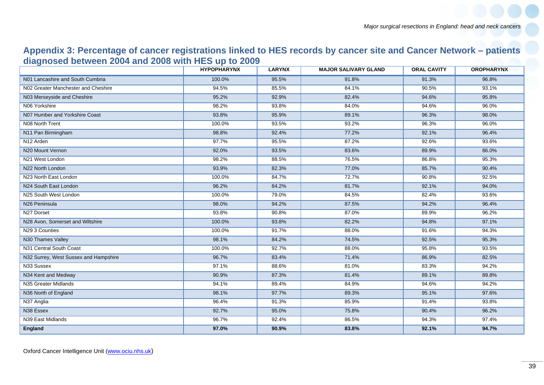## **Appendix 3: Percentage of cancer registrations linked to HES records by cancer site and Cancer Network – patients diagnosed between 2004 and 2008 with HES up to 2009**

|                                       | <b>HYPOPHARYNX</b> | <b>LARYNX</b> | <b>MAJOR SALIVARY GLAND</b> | <b>ORAL CAVITY</b> | <b>OROPHARYNX</b> |
|---------------------------------------|--------------------|---------------|-----------------------------|--------------------|-------------------|
| N01 Lancashire and South Cumbria      | 100.0%             | 95.5%         | 91.8%                       | 91.3%              | 96.8%             |
| N02 Greater Manchester and Cheshire   | 94.5%              | 85.5%         | 84.1%                       | 90.5%              | 93.1%             |
| N03 Merseyside and Cheshire           | 95.2%              | 92.9%         | 82.4%                       | 94.6%              | 95.8%             |
| N06 Yorkshire                         | 98.2%              | 93.8%         | 84.0%                       | 94.6%              | 96.0%             |
| N07 Humber and Yorkshire Coast        | 93.8%              | 95.9%         | 89.1%                       | 96.3%              | 98.0%             |
| N08 North Trent                       | 100.0%             | 93.5%         | 93.2%                       | 96.3%              | 96.0%             |
| N11 Pan Birmingham                    | 98.8%              | 92.4%         | 77.2%                       | 92.1%              | 96.4%             |
| N <sub>12</sub> Arden                 | 97.7%              | 95.5%         | 87.2%                       | 92.6%              | 93.6%             |
| N20 Mount Vernon                      | 92.0%              | 93.5%         | 83.6%                       | 89.9%              | 86.0%             |
| N21 West London                       | 98.2%              | 88.5%         | 76.5%                       | 86.8%              | 95.3%             |
| N22 North London                      | 93.9%              | 82.3%         | 77.0%                       | 85.7%              | 90.4%             |
| N23 North East London                 | 100.0%             | 84.7%         | 72.7%                       | 90.8%              | 92.5%             |
| N24 South East London                 | 96.2%              | 84.2%         | 81.7%                       | 92.1%              | 94.0%             |
| N25 South West London                 | 100.0%             | 79.0%         | 84.5%                       | 82.4%              | 93.6%             |
| N <sub>26</sub> Peninsula             | 98.0%              | 94.2%         | 87.5%                       | 94.2%              | 96.4%             |
| N27 Dorset                            | 93.8%              | 90.8%         | 87.0%                       | 89.9%              | 96.2%             |
| N28 Avon, Somerset and Wiltshire      | 100.0%             | 93.8%         | 82.2%                       | 94.8%              | 97.1%             |
| N29 3 Counties                        | 100.0%             | 91.7%         | 88.0%                       | 91.6%              | 94.3%             |
| N30 Thames Valley                     | 98.1%              | 84.2%         | 74.5%                       | 92.5%              | 95.3%             |
| N31 Central South Coast               | 100.0%             | 92.7%         | 88.0%                       | 95.8%              | 93.5%             |
| N32 Surrey, West Sussex and Hampshire | 96.7%              | 83.4%         | 71.4%                       | 86.9%              | 82.5%             |
| N33 Sussex                            | 97.1%              | 88.6%         | 81.0%                       | 83.3%              | 94.2%             |
| N34 Kent and Medway                   | 90.9%              | 87.3%         | 81.4%                       | 89.1%              | 89.8%             |
| N35 Greater Midlands                  | 94.1%              | 89.4%         | 84.9%                       | 94.6%              | 94.2%             |
| N36 North of England                  | 98.1%              | 97.7%         | 89.3%                       | 95.1%              | 97.6%             |
| N37 Anglia                            | 96.4%              | 91.3%         | 85.9%                       | 91.4%              | 93.8%             |
| N38 Essex                             | 92.7%              | 95.0%         | 75.8%                       | 90.4%              | 96.2%             |
| N39 East Midlands                     | 96.7%              | 92.4%         | 86.5%                       | 94.3%              | 97.4%             |
| England                               | 97.0%              | 90.9%         | 83.8%                       | 92.1%              | 94.7%             |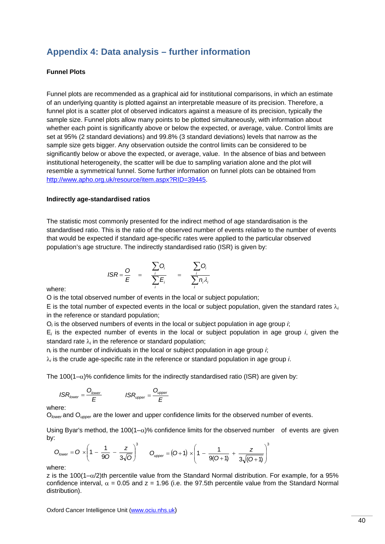## **Appendix 4: Data analysis – further information**

#### **Funnel Plots**

Funnel plots are recommended as a graphical aid for institutional comparisons, in which an estimate of an underlying quantity is plotted against an interpretable measure of its precision. Therefore, a funnel plot is a scatter plot of observed indicators against a measure of its precision, typically the sample size. Funnel plots allow many points to be plotted simultaneously, with information about whether each point is significantly above or below the expected, or average, value. Control limits are set at 95% (2 standard deviations) and 99.8% (3 standard deviations) levels that narrow as the sample size gets bigger. Any observation outside the control limits can be considered to be significantly below or above the expected, or average, value. In the absence of bias and between institutional heterogeneity, the scatter will be due to sampling variation alone and the plot will resemble a symmetrical funnel. Some further information on funnel plots can be obtained from http://www.apho.org.uk/resource/item.aspx?RID=39445.

#### **Indirectly age-standardised ratios**

The statistic most commonly presented for the indirect method of age standardisation is the standardised ratio. This is the ratio of the observed number of events relative to the number of events that would be expected if standard age-specific rates were applied to the particular observed population's age structure. The indirectly standardised ratio (ISR) is given by:

$$
ISR = \frac{O}{E} = \frac{\sum_{i} O_{i}}{\sum_{i} E_{i}} = \frac{\sum_{i} O_{i}}{\sum_{i} n_{i} \lambda_{i}}
$$

where:

O is the total observed number of events in the local or subject population;

E is the total number of expected events in the local or subject population, given the standard rates  $\lambda_i$ in the reference or standard population;

O*i* is the observed numbers of events in the local or subject population in age group *i*;

E*i* is the expected number of events in the local or subject population in age group *i*, given the standard rate λ*<sup>i</sup>* in the reference or standard population;

n*i* is the number of individuals in the local or subject population in age group *i*;

λ*i* is the crude age-specific rate in the reference or standard population in age group *i*.

The 100(1– $\alpha$ )% confidence limits for the indirectly standardised ratio (ISR) are given by:

$$
ISR_{lower} = \frac{O_{lower}}{E}
$$
 
$$
ISR_{upper} = \frac{O_{upper}}{E}
$$

where:

O<sub>lower</sub> and O<sub>upper</sub> are the lower and upper confidence limits for the observed number of events.

Using Byar's method, the 100(1- $\alpha$ )% confidence limits for the observed number of events are given by:

$$
O_{lower} = O \times \left(1 - \frac{1}{90} - \frac{z}{3\sqrt{O}}\right)^3 \qquad O_{upper} = (O+1) \times \left(1 - \frac{1}{9(O+1)} + \frac{z}{3\sqrt{(O+1)}}\right)^3
$$

where:

z is the 100(1– $\alpha/2$ )th percentile value from the Standard Normal distribution. For example, for a 95% confidence interval,  $\alpha = 0.05$  and  $z = 1.96$  (i.e. the 97.5th percentile value from the Standard Normal distribution).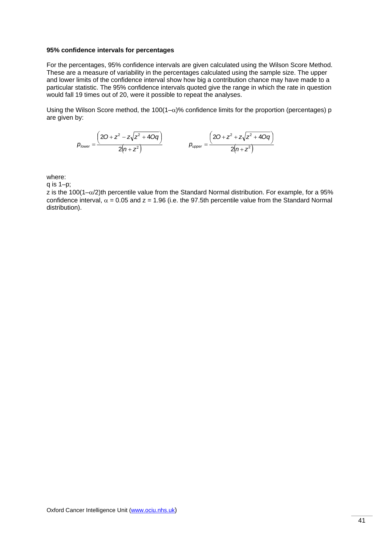#### **95% confidence intervals for percentages**

For the percentages, 95% confidence intervals are given calculated using the Wilson Score Method. These are a measure of variability in the percentages calculated using the sample size. The upper and lower limits of the confidence interval show how big a contribution chance may have made to a particular statistic. The 95% confidence intervals quoted give the range in which the rate in question would fall 19 times out of 20, were it possible to repeat the analyses.

Using the Wilson Score method, the 100(1– $\alpha$ )% confidence limits for the proportion (percentages) p are given by:

$$
p_{lower} = \frac{\left(20 + z^2 - z\sqrt{z^2 + 40q}\right)}{2(n + z^2)} \qquad p_{upper} = \frac{\left(20 + z^2 + z\sqrt{z^2 + 40q}\right)}{2(n + z^2)}
$$

where:

q is 1–p;

z is the 100(1– $\alpha$ /2)th percentile value from the Standard Normal distribution. For example, for a 95% confidence interval,  $\alpha$  = 0.05 and z = 1.96 (i.e. the 97.5th percentile value from the Standard Normal distribution).